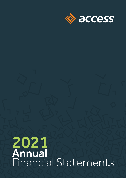

# 2021 Annual Financial Statements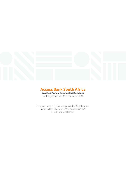

# **Access Bank South Africa**

**Audited Annual Financial Statements**

for the year ended 31 December 2021

in compliance with Companies Act of South Africa Prepared by: Chrisanthi Michaelides CA (SA) Chief Financial Officer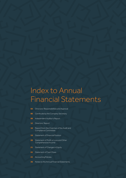# Index to Annual Financial Statements

- **04** Directors' Responsibilities and Approval
- **06** Certificate by the Company Secretary
- **08** Independent Auditor's Report
- 12 Directors' Report
- 16 Report from the Chairman of the Audit and Compliance Committee
- 19 Statement of Financial Position
- Statement of Profit or Loss and Other **20** Comprehensive Income
- **21** Statement of Changes in Equity
- 22 Statement of Cash Flows
- 23 Accounting Policies
- Notes to the Annual Financial Statements **36**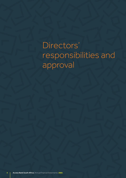Directors' responsibilities and approval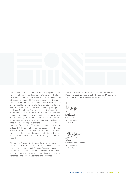

The Directors are responsible for the preparation and integrity of the Annual Financial Statements and related information included in this report. In order for the Board to discharge its responsibilities, management has developed and continues to maintain systems of internal control. The Board has ultimate responsibility for the systems of internal control and reviews their effectiveness, primarily through the Audit and Compliance Committee. As part of the systems of internal controls, the Bank's Internal Audit department conducts operational, financial and specific audits, and reports directly to the Audit Committee. The external auditors are responsible for reporting on the Annual Financial Statements. The majority shareholder is Access Bank Plc operating from Nigeria. The Directors have no reason to believe that the Bank will not be a going concern in the year ahead and have continued to adopt the going concern basis in preparing the financial statements. Refer to the directors' report, going concern section, for further guidance in this regard.

The Annual Financial Statements have been prepared in accordance with the provisions of the Companies Act and comply with International Financial Reporting Standards. The Annual Financial Statements are based on appropriate accounting policies, consistently applied and supported by reasonable and prudent judgments and estimates.

The Annual Financial Statements for the year ended 31 December 2021 were approved by the Board of Directors on the 17 May 2022 and are signed on its behalf by:

**BP Mathidi** Chairman Johannesburg 17 May 2022

**S Reddy** Chief Executive Officer Johannesburg 17 May 2022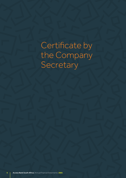Certificate by the Company Secretary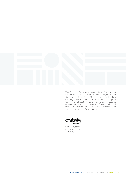

The Company Secretary of Access Bank (South Africa) Limited certifies that, in terms of section 88(2)(e) of the Companies Act, No.71 of 2008 as amended, the Bank has lodged with the Companies and Intellectual Property Commission of South Africa all returns and notices as required by a public company in terms of the Act and that all such returns are true, correct and up to date in respect of the financial year ended 31 December 2021.

Company Secretary Contractor : C Reddy 17 May 2022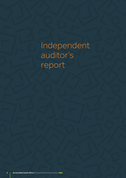# Independent auditor's report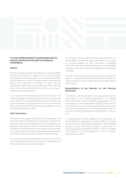

#### **TO THE SHAREHOLDERS OF ACCESS BANK (SOUTH AFRICA) LIMITED ON THE AUDIT OF FINANCIAL STATEMENTS.**

#### **Opinion**

We have audited the financial statements of Access Bank (South Africa) set out on pages 19 to 73, which comprise the statement of financial position as of 31 December 2021, and the statement of profit or loss and other comprehensive income, the statement of changes in equity and the statement of cash flows for the year then ended, and the notes to the financial statements, including a summary of significant accounting policies.

In our opinion, the financial statements present fairly, in all material respects, the financial position as at 31 December 2021, and its financial performance and cash flows for the year then ended in accordance with International Financial Reporting Standards (IFRSs) and the requirements of the Companies Act of South Africa.

#### **Other Information**

The directors are responsible for the other information. The other information comprises the information included in the document titled "Access Bank (South Africa) Annual Financial Statements for the year ended 31 December 2021" which includes the Directors' Report as required by the Companies Act of South Africa. The other information does not include the financial statements and our auditor's report thereon.

Our opinion on the financial statements does not cover the other information and we do not express an audit opinion or any form of assurance conclusion thereon.

In connection with our audit of the financial statements, our responsibility is to read the other information and, in doing so, consider whether the other information is materially inconsistent with the financial statements or our knowledge obtained in the audit, or otherwise appears to be materially misstated.

If, based on the work we have performed, we conclude that there is a material misstatement of this other information, we are required to report that fact. We have nothing to report in this regard.

#### **Responsibilities of the Directors for the Financial Statements**

The directors are responsible for the preparation and fair presentation of the financial statements in accordance with International Financial Reporting Standards and the requirements of the Companies Act of South Africa, and for such internal control as the directors determine is necessary to enable the preparation of financial statements that are free from material misstatement, whether due to fraud or error.

In preparing the financial statements, the directors are responsible for assessing the Company's ability to continue as a going concern, disclosing, as applicable, matters related to going concern and using the going concern basis of accounting unless the Directors either intend to liquidate the Company or to cease operations, or have no realistic alternative but to do so.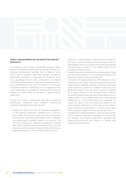

#### **Auditor's Responsibilities for the Audit of the Financial Statements**

Our objectives are to obtain reasonable assurance about whether the financial statements as a whole are free from material misstatement, whether due to fraud or error, and to issue an auditor's report that includes our opinion. Reasonable assurance is a high level of assurance, but is not a guarantee that an audit conducted in accordance with ISAs will always detect a material misstatement when it exists. Misstatements can arise from fraud or error and are considered material if, individually or in the aggregate, they could reasonably be expected to influence the economic decisions of users taken on the basis of these financial statements.

As part of an audit in accordance with ISAs, we exercise professional judgement and maintain professional scepticism throughout the audit. We also:

• Identify and assess the risks of material misstatement of the financial statements, whether due to fraud or error, design and perform audit procedures responsive to those risks, and obtain audit evidence that is sufficient and appropriate to provide a basis for our opinion. The risk of not detecting a material misstatement resulting from fraud is higher than for one resulting from error, as fraud may involve collusion, forgery, intentional omissions, misrepresentations, or the override of internal control.

- Obtain an understanding of internal control relevant to the audit in order to design audit procedures that are appropriate in the circumstances, but not for the purpose of expressing an opinion on the effectiveness of the Company's internal control.
- Evaluate the appropriateness of accounting policies used and the reasonableness of accounting estimates and related disclosures made by the directors.
- Conclude on the appropriateness of the directors' use of the going concern basis of accounting and based on the audit evidence obtained, whether a material uncertainty exists related to events or conditions that may cast significant doubt on the Company's ability to continue as a going concern. If we conclude that a material uncertainty exists, we are required to draw attention in our auditor's report to the related disclosures in the financial statements or, if such disclosures are inadequate, to modify our opinion. Our conclusions are based on the audit evidence obtained up to the date of our auditor's report. However, future events or conditions may cause the Company to cease to continue as a going concern.
- Evaluate the overall presentation, structure and content of the financial statements, including the disclosures, and whether the financial statements represent the underlying transactions and events in a manner that achieves fair presentation.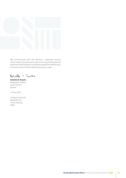

We communicate with the directors regarding, among other matters, the planned scope and timing of the audit and significant audit findings, including any significant deficiencies in internal control that we identify during our audit.

Delatte " Touche

**Deloitte & Touche** Registered Auditor Justin Dziruni Partner

17 May 2022

5 Magwa Crescent Waterfall City Johannesburg 2090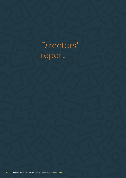# Directors' report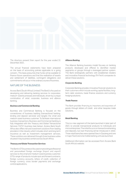

The directors present their report for the year ended 31 December 2021.

The annual financial statements have been prepared on the basis of accounting policies applicable to a going concern. This basis presumes that funds will be available to finance future operations and that the realisation of assets and settlement of liabilities, contingent obligations and commitments will occur in the ordinary course of business.

# NATURE OF THE BUSINESS

Access Bank (South Africa) Limited (The Bank) is focused on developing and delivering banking services to corporates, medium-sized businesses and individuals, driven by a unique combination of retail, corporate, business and alliance banking.

#### *Business and Commercial Banking*

Business and Commercial Banking is focused on the cornerstones of business banking (transactional banking, lending and deposit services) and targets the small and medium sized business customer. To facilitate international business transactions Business and Commercial banking is fully integrated with the Treasury and Global Transactional Services ("GTS") business (see below). Access Bank South Africa also offers risk and investment solutions from leading providers in the industry which includes short and long term insurance as well as investment management services. These solutions are delivered through three business suites situated in key business centers across South Africa.

#### *Treasury and Global Transaction Services*

The Bank's GTS business is focused on providing professional and personalised foreign exchange (import and export) services to the small and medium sized business customer. GTS's range of products include spot and forward contracts, foreign currency accounts, letters of credit, collection of foreign currency, cross border payments and exchange control applications.

#### *Alliance Banking*

The Alliance Banking business model focuses on banking products developed and offered to identified market segments or groups through a leveraged partner system. The Bank strategically partners with established retailers and innovative financial technology (FinTech) companies to deliver these solutions.

#### *Corporate Banking*

Corporate Banking provides innovative financial solutions to their customers which include working capital facilities, longterm debt solutions, trade finance solutions and currency hedging solutions.

#### *Trade Finance*

The Bank provides financing to importers and exporters of goods through letters of credit and other bespoke trade solutions.

#### *Retail Banking*

This is a new segment of the bank launched in later part of 2021 to provide transactional products to individuals and micro enterprises. The initial focus is on transactional banking and deposits, but loan financing will be introduced in 2022. Three retail branches were opened (two in Gauteng and one in Cape Town) and one mobile banking unit was launched.

Additional information can be accessed from Access Bank South Africa's website.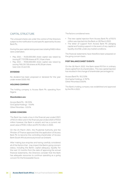# CAPITAL STRUCTURE

The unissued shares are under the control of the Directors subject to the notification to and specific approval by Access Bank Plc.

During the year capital raising exercises totaling R400 million were undertaken.

- May 2021 R100,000,000 share capital was raised by issuing 87 719 298 shares at R1,14 per share.
- May 2021 R300,000,000 share capital was raised by issuing 769 230 769 shares at R0,39 per share. (see note 15 and 16).

#### **DIVIDEND**

No dividend has been proposed or declared for the year under review (2020: Nil).

#### **HOLDING COMPANY**

The holding company is Access Bank Plc operating from Nigeria

#### **Shareholders are:**

Access Bank Plc - 90.35% GroCapital Holdings - 9.64% Other Minorities - 0.01%

#### **GOING CONCERN**

The Bank has made a loss in the financial year ended 2021 of R214 million and in the financial year ended 2020 of R354 million however, the Bank is solvent and has a current net asset value of R361 million and R176 million in 2020.

On the 25 March 2021, the Prudential Authority and the Minister of Finance approved that the application of Access Bank Plc to become the controlling shareholder of Access Bank (South Africa) previously known as Grobank.

After making due enquiries and having carefully considered all of the factors that may impact the Bank's going concern status, including the Bank's capital adequacy, liquidity for the next 12 months from the date of approving the annual financial statements, the Directors consider that the Bank has adequate resources to continue operating as a going concern for the foreseeable future.

The factors considered were:

- The new capital injection from Access Bank Plc of R375 million was injected into the Bank on 28 March 2022,
- The letter of support from Access Bank Plc pledging capital and funding support in the event of any capital or liquidity shortfall, under any market conditions.

The financial statements have therefore been prepared on the going concern basis.

#### **POST BALANCE SHEET EVENTS**

On the 28 March 2022, the Bank raised R375m in ordinary share capital from its shareholders. This new capital injection has resulted in the change of shareholder percentages to:

Access Bank Plc 95.210% GroCapital Holdings 4.787% Other Minorities 0.003%

The Bank's holding company was established and approved by the PA in 2022.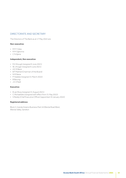# DIRECTORATE AND SECRETARY

The Directors of The Bank as at 17 May 2022 are:

#### **Non-executive:**

- R M Y Giles
- R M Ogbonna
- C N Ajene

### **Independent, Non executive:**

- R A Shough (resigned 9 June 2021)
- W J Krüger (resigned 9 June 2021)
- A E M Beck
- B P Mathidi (Chairman of the Board)
- N M Nene
- P Hadebe (resigned 31 March 2022)
- B Barungi
- J E O'Neill

#### **Executive:**

- B van Rooy (resigned 31 August 2021)
- C Michaelides (resigned with effect from 31 May 2022)
- S Reddy (Chief Executive Officer) (appointed 19 January 2022)

#### **Registered address:**

Block 3, Inanda Greens Business Park 54 Wierda Road West, Wierda Valley, Sandton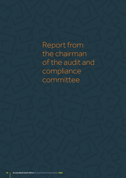Report from the chairman of the audit and compliance committee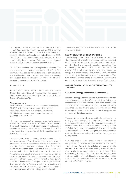

This report provides an overview of Access Bank (South Africa) Audit and Compliance Committee (ACC) and its activities and the manner in which it has discharged its responsibilities for the financial year ended December 2021. The ACC is an independent and formal statutory committee appointed by the shareholders. Further duties are delegated to the ACC by the Board of Access Bank South Africa.

The ACC has used the King IV principles to continue to drive and embed good corporate governance at The Bank. The committee's objectives include fostering an ethical culture, sustainable value creation, a good reputation and legitimacy, and trusted financial reporting supported by effective financial processes, controls and assurance.

#### **COMPOSITION**

Access Bank South Africa's Audit and Compliance Committee comprises of independent non-executive directors who are elected annually at the company's Annual General Meeting (AGM).

#### **The members are:**

Ms A E M Beck (Chairperson, non-executive independent) Mr J E O'Neill (non-executive independent director) Ms B Barungi (non-executive independent director) Mr P Hadebe (non-executive independent director) (resigned 31 March 2022)

The members possess the necessary expertise to execute their duties in relation to the committee as provided in section 94 of the Companies Act and have adequate knowledge and experience to carry out their duties. The composition of the ACC meets the requirements of the Companies Act, the Banks Act and King IV.

The ACC operates independently of management and of the shareholders, is free of any organisational restraint or pressure and acts in accordance with its statutory duties and the Board's delegated authority. The Committee holds private closed sessions without management with the external auditors, the Head: Internal Audit, the Head: Compliance and Legal, and the Chief Financial Officer, all of whom have direct access to the committee. The Chief Executive Officer (CEO), Chief Financial Officer (CFO), Chief Risk Officer, Head of Compliance and Legal Services, the Head of Internal Audit, and the external auditors are invitees to the Committee meetings. Other risk and related assurance providers attend meetings by invitation only.

The effectiveness of the ACC and its members is assessed on an annual basis.

#### **RESPONSIBILITIES OF THE COMMITTEE**

The statutory duties of the Committee are set out in the Companies Act. The functions of the Committee are outlined in its charter. The ACC is accountable to the shareholders and the Board and relevant regulatory authorities. The responsibility and functions of the Committee include the review of financial reporting and their recommendation for approval to the Board and reviewing the basis on which the company has been determined a going concern. The Committee's charter allows it to consult with external consultants to assist it with the performance of its functions.

#### **ANNUAL CONFIRMATIONS OF KEY FUNCTIONS FOR THE YEAR**

#### **External auditor appointment and independence**

Deloitte were appointed as external auditors of the Bank for the 2021 financial year. The ACC is satisfied that Deloitte are independent of the Bank and are able to conduct their audit functions without any influence from the Bank. Requisite assurance was sought and provided by the auditor that internal governance processes within Deloitte support and demonstrate its independence.

The committee reviewed and agreed to the auditor's terms of engagement, audit plan and budgeted audit fees for the 2021 year and is satisfied with the results of its appraisal of Deloitte's expertise and audit quality. Feedback was provided to Deloitte regarding our appraisal of their performance in completing the 2021 audit. During the year the committee met with the external audit partners without management being present.

Our established procedure that governs the consideration and approval of non-audit services provided by the auditor, was followed. During 2021 Deloitte provided non-audit services of an immaterial value relating to due diligences on new alliance partners in terms of the Alliance partner on-boarding framework. The Committee further approved that non-audit services of this nature to the value of 25% of the audit fee will be allowed before reverting back to the committee for further approval.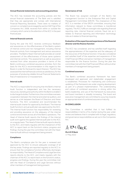#### **Annual financial statements and accounting practices**

The ACC has reviewed the accounting policies and the annual financial statements of The Bank and is satisfied that they are appropriate and comply with International Financial Reporting Standards. There were no matters of concern or complaint as envisaged by section 94(7) (g) of the Companies Act, 2008, received from within or outside the company which came to the attention of the ACC in the past financial year.

#### **Internal financial controls**

During the year the ACC receives continuous feedback and assurances on the effectiveness of the Bank's system of internal control and risk management, including internal financial controls, from management and various assurance providers. The Bank's Head: Internal Audit provides an overall assessment of the effectiveness of those same systems and internal controls. This assessment as well as assurance received from other assurance providers in terms of the Bank's continuous combined assurance activities, form the basis for the ACC's recommendation in this regard to the Board, in order for the board to report thereon. The ACC has assessed the internal financial controls as satisfactory, for the purposes of producing reliable Annual Financial Statements free of material error or misstatement.

#### **Internal audit**

The ACC is responsible for ensuring that the Bank's Internal Audit function is independent and has the necessary resources, standing and authority within the Bank to enable it to discharge its duties. Furthermore, the committee oversees cooperation between the internal and external auditors, and serves as a link between the Board of Directors and these functions. The ACC considered and recommended the internal audit charter for approval by the Board. The Internal Audit function's annual audit plan was approved by the ACC. The Internal Audit function has responsibility for reviewing and providing assurance on the adequacy of the internal control environment across all of the Bank's operations. The Head of Internal Audit reports the findings of the internal audit work against the agreed internal audit plan to the ACC on a regular basis. The Head of Internal Audit reports directly to the ACC, and meets regularly with the chairperson of the ACC to report back on the function's status, progress and findings. During the year the committee met with the Head: Internal Audit without management being present.

#### **Compliance**

The Bank's compliance plan for the year is reviewed and approved by the ACC to ensure adequate coverage of all the key areas. Findings are reported regularly to the ACC to ensure that the compliance function effectively discharges its responsibility. The Head of Compliance and Legal Services reports directly to the ACC, and meets regularly with the chairman of the ACC to report back on the function's status, progress and findings. During the year the committee met with the Head of Compliance and Legal Services without other members of management being present.

#### **Governance of risk**

The Board has assigned oversight of the Bank's risk management function to the Enterprise Risk and Capital Management Committee (ERCM). The chairperson of the ACC is a member of the ERCM committee, ensuring that information relevant to these committees is transferred regularly. The ACC fulfils an oversight role regarding financial reporting risks, internal financial controls, fraud risk as it relates to financial reporting and information technology risks as it relates to financial reporting.

#### **Evaluation of the expertise and experience of the financial director and the finance function**

The ACC has considered, and has satisfied itself regarding the appropriateness of the expertise and the adequacy of the resources of the finance function. It has also considered and satisfied itself of the expertise and experience of the Chief Financial Officer and senior members of management responsible for the finance function. During the year the committee met with the Chief Financial Officer without other members of management being present.

#### **Combined assurance**

The Bank's combined assurance framework has been developed and approved, and stakeholder engagement is established. Processes for maintaining and continuous updating of the framework are under ongoing development as part of a phased implementation. The understanding and culture of combined assurance is strong within the bank's leadership, and use of the framework by executives and board members is steadily increasing. The board and executive management are committed to a journey towards an appropriate level of combined assurance maturity.

#### **IN CONCLUSION**

The Committee is satisfied that it had fulfilled its responsibilities in terms of its charter during the year under review and believes that it complied with its legal, regulatory and governance responsibilities as set out in the Companies Act.

A EM Beck

**Ms A E M Beck** 17 May 2022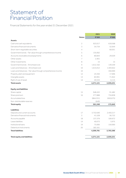# Statement of Financial Position

|                                                              |                | 2021         | 2020         |
|--------------------------------------------------------------|----------------|--------------|--------------|
|                                                              | <b>Notes</b>   | <b>R'000</b> | <b>R'000</b> |
| <b>Assets</b>                                                |                |              |              |
| Cash and cash equivalents                                    | $\overline{2}$ | 923,017      | 618.568      |
| Derivative financial instruments                             | 3              | 54,734       | 52,644       |
| Short-term negotiable securities                             | $\overline{4}$ |              | 60,051       |
| Government bonds - Fair value through comprehensive income   | 5              | 135,062      |              |
| Accounts receivable and prepayments                          | 6              | 80,843       | 29,029       |
| Other assets                                                 | $\overline{7}$ | 2.401        |              |
| Other investments                                            | 8              | 15           | 15           |
| Government bonds - Amortised cost                            | 9              | 1,612,162    | 139.539      |
| Loans and Advances - Amortised cost                          | 10             | 1,615,012    | 1,593,652    |
| Loans and Advances - Fair value through comprehensive income | 10             |              | 350.000      |
| Property, plant and equipment                                | 12             | 23,350       | 17,696       |
| Intangible assets                                            | 13             | 83,991       | 71,922       |
| Right of use of asset                                        | 14             | 40,534       | 6.115        |
| <b>Total assets</b>                                          |                | 4,571,121    | 2,939,231    |
| <b>Equity and liabilities</b>                                |                |              |              |
| Share capital                                                | 15             | 948,432      | 91,482       |
| Share premium                                                | 16             | 277,888      | 734,838      |
| Accumulated loss                                             |                | (864, 331)   | (650, 675)   |
| Non-distributable reserves                                   |                | (649)        |              |
| <b>Total equity</b>                                          |                | 361,340      | 175,645      |
| <b>Liabilities</b>                                           |                |              |              |
| Deposits and current accounts                                | 17             | 3,732,640    | 2.450.217    |
| Derivative financial instruments                             | 3              | 41,528       | 56,722       |
| Accounts payable                                             | 18             | 137,379      | 100,672      |
| Lease liabilities                                            | 14             | 40,073       | 5,975        |
| Institutional loans                                          | 19             | 75,000       | 150,000      |
| Debenture Instruments                                        | 20             | 183,161      |              |
| <b>Total liabilities</b>                                     |                | 4,209,781    | 2,763,586    |
| <b>Total equity and liabilities</b>                          |                | 4,571,121    | 2,939,231    |
|                                                              |                |              |              |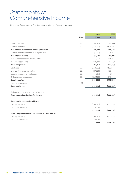# Statements of Comprehensive Income

|                                                        |              | 2021         | 2020         |
|--------------------------------------------------------|--------------|--------------|--------------|
|                                                        | <b>Notes</b> | <b>R'000</b> | <b>R'000</b> |
|                                                        |              |              |              |
| Interest income                                        | 22.1         | 199,614      | 205,653      |
| Interest expense                                       | 22.2         | (115, 207)   | (104, 703)   |
| Net interest income from banking activities            |              | 84,407       | 100,950      |
| Interest expense from non banking activities           | 22.3         | (1,734)      | (4,803)      |
| Net interest income                                    |              | 82,673       | 96,147       |
| Net charge for bad and doubtful advances               | 11           | 3,510        | (71, 108)    |
| Non-interest income                                    | 22.4         | 126,070      | 97,254       |
| <b>Operating income</b>                                |              | 212,253      | 122,293      |
| Staff cost                                             | 22.5         | (158, 833)   | (169, 268)   |
| Depreciation and amortisation                          | 22.5         | (47, 226)    | (63, 116)    |
| Loss on scrapping of fixed assets                      | 22.5         | (287)        | (3,847)      |
| Other operating expenses                               | 22.5         | (219, 563)   | (240, 192)   |
| Loss before tax                                        |              | (213, 656)   | (354, 130)   |
| Income tax expense                                     | 23           |              |              |
| Loss for the year                                      |              | (213, 656)   | (354, 130)   |
| Other comprehensive loss net of taxation               |              |              |              |
| Total comprehensive loss for the year                  |              | (213, 656)   | (354, 130)   |
| Loss for the year attributable to:                     |              |              |              |
| Holding company                                        |              | (193.047)    | (353, 918)   |
| Minority shareholders                                  |              | (20.609)     | (212)        |
|                                                        |              | (213, 656)   | (354, 130)   |
| Total comprehensive loss for the year attributable to: |              |              |              |
| Holding company                                        |              | (193, 047)   | (353, 918)   |
| Minority shareholders                                  |              | (20, 609)    | (212)        |
|                                                        |              | (213, 656)   | (354, 130)   |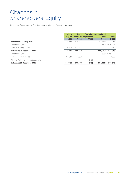# Changes in Shareholders' Equity

|                                      | <b>Share</b>   | <b>Share</b>             | <b>Fair value</b>        | <b>Accumulated</b>       |              |
|--------------------------------------|----------------|--------------------------|--------------------------|--------------------------|--------------|
|                                      | <b>Capital</b> | premium                  | adjustment               | loss                     | <b>Total</b> |
|                                      | <b>R'000</b>   | <b>R'000</b>             | <b>R'000</b>             | <b>R'000</b>             | <b>R'000</b> |
| <b>Balance at 1 January 2020</b>     | 67.856         | 626.927                  | $\overline{\phantom{a}}$ | (296.545)                | 398.238      |
| Loss for the year                    |                |                          | -                        | (354.130)                | (354.130)    |
| Issue of ordinary shares             | 23.626         | 107.911                  | $\overline{\phantom{0}}$ | $\overline{\phantom{0}}$ | 131.537      |
| <b>Balance at 31 December 2020</b>   | 91.482         | 734.838                  | ۰                        | (650.675)                | 175,645      |
| Loss for the year                    |                |                          | -                        | (213.656)                | (213, 656)   |
| Issue of ordinary shares             | 856.950        | (456.950)                |                          | $\overline{\phantom{0}}$ | 400.000      |
| Mark to Market valuation adjustments |                | $\overline{\phantom{0}}$ | (649)                    | $\overline{\phantom{0}}$ | (649)        |
| <b>Balance at 31 December 2021</b>   | 948.432        | 277.888                  | (649)                    | (864.331)                | 361,340      |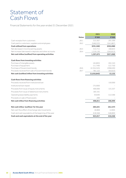# Statement of Cash Flows

|                                                        |              | 2021         | 2020         |
|--------------------------------------------------------|--------------|--------------|--------------|
|                                                        | <b>Notes</b> | <b>R'000</b> | <b>R'000</b> |
| Cash receipts from customers                           | 28.1         | 313,367      | 291,599      |
| Cash paid to customers, suppliers and employees        | 28.2         | (548.533)    | (541,887)    |
| <b>Cash utilised from operations</b>                   |              | (235, 166)   | (250, 288)   |
| Net decrease in income earning assets                  | 28.3         | 313,711      | 168,833      |
| Net increase (decrease) in deposits and other accounts | 28.4         | 1,319,130    | (245, 813)   |
| Net cash inflow (outflow) from operating activities    |              | 1,397,675    | (327, 268)   |
| <b>Cash flows from investing activities</b>            |              |              |              |
| Purchase of intangible assets                          |              | (45.893)     | (30, 132)    |
| Purchase of equipment                                  |              | (11, 749)    | (12, 716)    |
| Purchase of Government bonds                           | 28.6         | (2,334,325)  | (298, 630)   |
| Proceeds received from sale of Government bonds        | 28.7         | 781,122      | 354,610      |
| Net cash (outflow) inflow from investing activities    |              | (1,610,845)  | 13,132       |
| <b>Cash flows from financing activities</b>            |              |              |              |
| Proceeds received from institutional loan              |              |              | 150,000      |
| Institutional loan repaid                              |              | (75,000)     |              |
| Proceeds from issue of equity instruments              |              | 400.000      | 131,537      |
| Proceeds from issue of debenture instruments           |              | 183,161      |              |
| Operating lease liability payments                     |              | (9.649)      | (12, 538)    |
| Proceeds on sale of fixed assets                       |              | 299          |              |
| Net cash inflow from financing activities              |              | 498,811      | 268,999      |
| Net cash inflow (outflow) for the year                 |              | 285,641      | (45, 137)    |
| Net cash flow effect of exchange rate movements        |              | 18.808       | 14,905       |
| Cash and cash equivalents at the beginning of the year |              | 618,568      | 648,800      |
| Cash and cash equivalents at the end of the year       |              | 923,017      | 618,568      |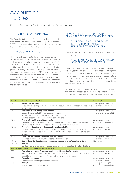# Accounting Policies

Financial Statements for the year ended 31 December 2021

# 1.1 STATEMENT OF COMPLIANCE

The Financial Statements of the Bank have been prepared in accordance with International Financial Reporting Standards ("IFRS") and are stated in South African Rands, rounded to the nearest thousand (unless otherwise stated).

# 1.2 BASIS OF PREPARATION

The financial statements have been prepared on the historical cost basis, except for financial assets and financial liabilities held at fair value through profit or loss and derivative contracts, which have been measured at fair value. Historical cost is generally based on the fair value of the consideration given in exchange for assets. The preparation of financial statements in conformity with IFRS requires the use of estimates and assumptions that affect the reported amounts of assets and liabilities, the disclosure of contingent assets and liabilities at the date of the financial statements and the reported amounts of revenues and expenses during the reporting period.

# NEW AND REVISED INTERNATIONAL FINANCIAL REPORTING STANDARDS (IFRS)

# 1.3 ADOPTION OF NEW AND REVISED INTERNATIONAL FINANCIAL REPORTING STANDARDS (IFRS)

The Bank did not adopt any new standards in the current financial year

# 1.4 NEW AND REVISED IFRS STANDARDS IN ISSUE BUT NOT YET EFFECTIVE

There are a number of new or revised standard in issue that are not yet effective and that the Bank does not have plans to early adopt. The following standards could be applicable to the business of the Bank and might have an impact on future financial statements. The impact of initial application of the following standards or intepretation is not expected to be significant to the Bank.

At the date of authorisation of these financial statements, the Bank has not applied the following new and revised IFRS Standards that have been issued but are not yet effective.

| <b>Standard</b>  | <b>Standard title and detail</b>                                                             | <b>Effective Date</b>      |
|------------------|----------------------------------------------------------------------------------------------|----------------------------|
| IFRS 17          | <b>Insurance Contracts</b>                                                                   | Annual periods beginning   |
|                  | Establishes the principles for the recognition, measurement, presentation and disclosure     | on or after 1 January 2023 |
|                  | of insurance.                                                                                |                            |
| <b>IFRS 3</b>    | <b>Reference to the Conceptual Framework</b>                                                 | Annual periods beginning   |
|                  | Updated reference to 2018 Conceptual framework.                                              | on or after 1 January 2022 |
|                  | Add requirements within the scope of IAS 37 and IFRIC 21.                                    |                            |
|                  | Clarifies recognition criteria in business combinations.                                     |                            |
| IAS <sub>1</sub> | <b>Presentation of Financial Statements</b>                                                  | Annual periods beginning   |
|                  | Classification of Liabilities as Current or Non-current: Narrow-scope amendments to          | on or after 1 January 2023 |
|                  | clarify how to classify debt and other liabilities as current or non-current.                |                            |
| <b>IAS 16</b>    | Property and equipment-Proceeds before Intended Use                                          | Annual periods beginning   |
|                  | Clarifies treatment of any proceeds from selling items produced before that asset is         | on or after 1 January 2022 |
|                  | available for use and also clarifies the meaning of 'testing whether an asset is functioning |                            |
|                  | properly'                                                                                    |                            |
| <b>IAS 37</b>    | <b>Onerous Contracts-Cost of Fulfilling a Contract</b>                                       | Annual periods beginning   |
|                  | Specifies what the cost of fulfilling a contract comprises of.                               | on or after 1 January 2022 |
| <b>IAS 28</b>    | Sale or Contribution of Assets between an Investor and its Associate or Joint                | Not yet set                |
| IFRS 10          | Venture.                                                                                     |                            |
|                  | Clarifies treatement of gains or losses resulting from the loss of control of a subsidiary.  |                            |
|                  | <b>Annual Improvements to IFRS Standards 2018-2020</b>                                       |                            |
| IFRS 1           | First-time Adoption of International Financial Reporting Standards                           | Annual periods beginning   |
|                  | Provides additional relief to a subsidiary which becomes a first-time adopter later than its | on or after 1 January 2022 |
|                  | parent in respect of accounting for cumulative translation differences.                      |                            |
| <b>IFRS9</b>     | <b>Financial Instruments</b>                                                                 | Annual periods beginning   |
|                  | Clarifies test to derecognise financial liabilities                                          | on or after 1 January 2022 |
| <b>IFRS41</b>    | <b>Agriculture</b>                                                                           | Annual periods beginning   |
|                  | Amends measurement of Fair Value                                                             | on or after 1 January 2022 |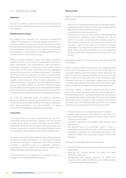# 1.5 LEASES AS LESSEE

#### **Definition**

A lease is a contract, or part of a contract, that conveys the right to use an asset for a period of time in exchange for consideration.

#### **Identification of a lease**

At inception of a contract, it is assessed to determine whether the contract is, or contains, a lease. A contract is, or contains, a lease if the contract conveys the right to control the use of an identified asset for a period of time in exchange for consideration. If the terms and conditions of a contract are changed, it is reassessed to once again determine if the contract is still or now contains a lease.

Where a contract contains a lease, each lease component with the contract is accounted for separately from the nonlease components. The consideration is then allocated to each lease component on the basis of the relative standalone price of the lease component and the aggregate stand-alone price of the non-lease components. The relative stand-alone price of lease and non-lease components are determined on the basis of the price the lessor, or a similar supplier, would charge an entity for that component, or a similar component, separately. If an observable stand-alone price is not readily available, an estimate of the stand-alone price is made, maximising the use of observable information in each case. All non-lease components are accounted for in accordance with whatever other policy is applicable to them.

For class of underlying asset, the practical expedient allowed by IFRS16 is elected, and therefore the non-lease components are not separated from the lease components. Each lease component and any associated non-lease component is treated as a single lease component.

#### **Lease term**

The lease term of a lease is determined as the noncancellable period of the lease, together with the periods covered by an option to extend the lease where there is reasonable certainty that the option will be exercised, and periods covered by an option to terminate the lease if there is reasonable certainty that the option will not be exercised.

The assessment of the reasonable certainty of the exercising of options to extend the lease or not exercising of options to terminate the lease is reassessed upon the occurrence of either a significant event or a significant change in circumstances that is within the company's control and it affects the reasonable certainty assumptions.

The assessment of the lease term is revised if there is a change in the non-cancellable lease period.

#### **Measurement**

Right-of-use assets are initially measured at cost, comprising the following:

- the amount of the initial measurement of the lease liability;
- any lease payments made at or before the commencement date, less any lease incentives received;
- any initial direct costs incurred; and
- an estimate of costs to be incurred in dismantling and removing the underlying asset, restoring the site on which it is located or restoring the underlying asset to the condition required by the terms and conditions of the lease, unless those costs are incurred to produce inventories. The obligation for those costs are incurred either at the commencement date or as a consequence of having used the underlying asset during a particular period.

Subsequently, right-of-use assets are measured using the cost model.

Where a lease transfers ownership of the underlying asset by the end of the lease term or if the cost of the right-ofuse asset reflects a purchase option will be exercised, the right-of-use asset is depreciated from the commencement date to the end of the useful life of the underlying asset. Otherwise, the right-of-use asset is depreciated from the commencement date to the earlier of the end of the useful life of the right-of-use asset or the end of the lease term.

The lease liability is initially measured at the present value of the lease payments that are not yet paid at the commencement date. Lease payments are discounted using the interest rate implicit in the lease, if the rate can be readily determined, else it is based on the company's incremental borrowing rate. The following lease payments are included where they are not paid at the commencement date:

- fixed payments, less any lease incentives receivable;
- variable lease payments that depend on an index or a rate, initially measured using the index or rate as at the commencement date;
- amounts expected to be payable under residual value guarantees;
- the exercise price of a purchase option if there is reasonably certainty that the option will be exercised; and
- payments of penalties for terminating the lease, if the lease term reflects the exercising an option to terminate the lease.

Subsequently, the lease liability is measured by:

- increasing the carrying amount to reflect interest on the lease liability;
- reducing the carrying amount to reflect the lease payments made; and
- remeasuring the carrying amount to reflect any reassessment or lease modifications or to reflect revised in- substance fixed lease payments.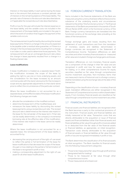Interest on the lease liability in each period during the lease term is the amount that produces a constant periodic rate of interest on the remaining balance of the lease liability. The periodic rate of interest is the discount rate described above, or if applicable the revised discount rate described below.

Profit or loss for the year will include the interest expense on the lease liability, and the variable costs not included in the measurement of the lease liability are included in the year in which the event of condition that triggers the payment of the variable costs occurs.

The remeasurement is performed by discounting the revised lease payments if there is a change in the amounts expected to be payable under a residual value guarantee, or if there is a change in the future lease payments resulting from a change in an index or a rate used to determine those payments. This remeasurement will use an unchanged discount rate unless the change in lease payments resulted from a change in a floating interest rate.

#### **Lease modifications**

A lease modification is treated as a separate lease if both: the modification increases the scope of the lease by adding the right to use one or more underlying assets, and the consideration for the lease increases by an amount commensurate with the stand-alone price for the increase in scope and any appropriate adjustments to that stand-alone price to reflect the circumstances of the particular contract.

Where the lease modification is not accounted for as a separate lease, at the effective date of the lease modification the following changes are made:

- allocate the consideration in the modified contract;
- determine the lease term of the modified lease; and
- remeasure the lease liability by discounting the revised lease payments using a revised discount rate. The revised discount rate is determined as the interest rate implicit in the lease for the remainder of the lease term, if that rate can be readily determined, or the company's incremental borrowing rate at the effective date of the modification, if the interest rate implicit in the lease cannot be readily determined.

Where the lease modification is not accounted for as a separate lease, the remeasurement of the lease liability is accounted for by:

- decreasing the carrying amount of the right-of-use asset to reflect the partial or full termination of the lease for lease modifications that decrease the scope of the lease. Any gain or loss relating to the partial or full termination of the lease is recognised in profit or loss.
- making a corresponding adjustment to the right-of-use asset for all other lease modifications.

# 1.6 FOREIGN CURRENCY TRANSLATION

Items included in the financial statements of the Bank are measured using the currency that best reflects the economic substance of the underlying events and circumstances relevant to the entity ("the functional currency"). The financial statements of the Bank are presented in thousands of South African Rands (ZAR), which is the functional currency of the Bank. Foreign currency transactions are translated into the functional currency at the exchange rates prevailing at the dates of the transactions

Foreign exchange gains and losses resulting from the settlement of such transactions and from the translation of monetary assets and liabilities denominated in foreign currencies are recognised in the Statement of Comprehensive Income. Translation differences on debt securities and other monetary financial assets re- measured at fair value are included in foreign exchange gains and losses.

Translation differences on non-monetary financial assets are a component of the change in their fair value and are recognised in profit and loss for equity securities held for trading, or in other comprehensive income for equity securities classified as Fair value through comprehensive income investment securities. Non-monetary items that are measured in terms of historical cost in a foreign currency shall be translated using the exchange rate at the date of the transaction.

Depending on the classification of a non – monetary financial asset, translation differences are either recognised in the Statement of Comprehensive Income or within shareholders' equity, if non monetary financial assets are classified as Fair value through comprehensive income investment securities

## 1.7 FINANCIAL INSTRUMENTS

Financial assets and financial liabilities are recognised when the Bank becomes a party to the contractual provisions of the instrument. Financial assets and financial liabilities are initially measured at fair value. Transaction costs that are directly attributable to the acquisition or issue of financial assets and financial liabilities (other than financial assets and financial liabilities at fair value through profit or loss) are added to or deducted from the fair value of the financial assets or financial liabilities, as appropriate, on initial recognition. Transaction costs directly attributable to the acquisition of financial assets or financial liabilities at fair value through profit or loss are recognised immediately in profit or loss.

The Bank determines the classification of its financial assets at initial recognition. The Bank classifies its financial assets into the following measurement categories:

- Those to be measured at fair value through profit and loss (designated held for trading)
- Those to be measured at fair value through other comprehensive income
- Those measured at amortised cost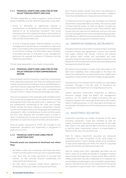#### **1.7.1 FINANCIAL ASSETS AND LIABILITIES AT FAIR VALUE THROUGH PROFIT AND LOSS**

The Bank designates at initial recognition certain financial assets or liabilities as at fair value through profit or loss when:

- Doing so eliminates or significantly reduces a measurement or recognition inconsistency (sometimes referred to as "an accounting mismatch") that would otherwise arise if the related derivatives were treated as held for trading and the underlying financial instruments were carried at amortised cost.
- A book of financial assets, financial liabilities or both is managed and its performance is evaluated on a fair value basis, in accordance with a documented risk management or investment strategy, and information about the Bank is provided internally on that basis to key management personnel, for example the Board of Directors and the Chief Executive Officer;

The fair value designation, once made, is irrevocable.

#### **1.7.2 FINANCIAL ASSETS AND LIABILITIES AT FAIR VALUE THROUGH OTHER COMPREHENSIVE INCOME**

Financial assets held for a business model that is achieved by both collecting contractual cash flows and selling and which contain contractual terms that give rise on specified dates to cash flows that are solely payments of principal and interest are measured at fair value through other comprehensive income ('FVOCI'). These comprise primarily debt securities.

They are recognised on the trade date when the Bank enters into contractual arrangements to purchase and are normally derecognised when they are either sold or redeemed. They are subsequently remeasured at fair value and changes therein (except for those relating to impairment, interest income and foreign currency exchange gains and losses) are recognised in other comprehensive income until the assets are sold. Upon disposal, the cumulative gains or losses in other comprehensive income are recognised in the income statement as 'Gains less losses from financial instruments'.

Financial assets measured at FVOCI are included in the impairment calculations and impairment is recognised in profit or loss or OCI.

#### **1.7.3 FINANCIAL ASSETS AND LIABILITIES AT AMORTISED COST**

#### **Financial assets are measured at amortised cost where they:**

- are held to collect the contractual cash flows and which contain contractual terms that give rise on specified dates
- cash flows that are solely payments of principal and interest on the principle amount outstanding are measured at amortised cost.
- are held within a business model whose objective is achieved by holding to collect contractual cash flows.

Such financial assets include most loans and advances to banks and customers and some debt securities. In addition, most financial liabilities are measured at amortised cost.

The Bank accounts for regular way amortised cost financial instruments using trade date accounting. The carrying value of these financial assets at initial recognition includes any directly attributable transactions costs. If the initial fair value is lower than the cash amount advanced, such as in the case of some leveraged finance and syndicated lending activities, the difference is deferred and recognised over the life of the loan through the recognition of interest income.

## 1.8 DERIVATIVE FINANCIAL INSTRUMENTS

Derivative financial instruments including foreign exchange contracts, forward rate agreements, currency and interest rate swaps, interest rate futures, currency and interest rate options (both written and purchased) and other derivative financial instruments are initially recognised in the Statement of Financial position at fair value and subsequently remeasured at their fair value.

Derivatives are presented in assets when favourable to the Bank and in liabilities when unfavourable to the Bank. Fair values are obtained from quoted market prices, dealer price quotations or discounted cash flow models, as appropriate.

Derivatives are not entered into for trading nor speculative purposes. Changes in the fair value of derivatives are recognised in the Statement of Comprehensive Income.

Certain derivative instruments transacted as effective economic hedges under the Bank's risk management positions, do not qualify for hedge accounting and are therefore treated in the same way as derivative instruments held for trading purposes, i.e. fair value gains and losses are recognised in the Statement of Comprehensive non interest Income.

# 1.9 INVESTMENT SECURITIES

Investment securities are initially recognised at fair value (including transaction costs) and classified as held for trading. Investment securities are recognised on the trade date, which is the date that the Bank commits to purchase or sell the asset. Investments, where it is impracticable to determine fair value, are carried at cost.

Held for trading investment securities are measured subsequent to initial recognition at fair value based on quoted bid prices in active markets, dealer price quotations or discounted expected cash flows. Fair value for unquoted equity instruments are held at amortised cost.

Held for trading short term negotiable securities may be sold in response to needs for liquidity or changes in interest rates, foreign exchange rate or equity prices. When held for trading investment security is disposed of or impaired, the accumulated unrealised gain or loss included in shareholders' equity is transferred to the income statement for the period and reported as gains/losses from investment securities.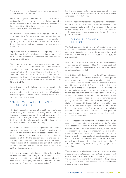Gains and losses on disposal are determined using the moving average cost method.

Short term negotiable instruments which are Amortised cost consist of non - derivative, securities that are quoted in an active market, with fixed or determinable payments and fixed maturities, which the management has the positive intent and ability to hold to maturity.

Short term negotiable instrument are carried at amortised cost using the effective interest rate method, less any provision for impairment. Amortised cost is calculated by taking into account any fees, points paid or received, transaction costs and any discount or premium on acquisition.

Impairment: The Bank assesses at each reporting date, the loss allowance for a financial instrument at an amount equal to the lifetime expected credit losses if the credit risk has increased significantly.

The objective is to recognise lifetime expected credit losses whether assessed on an individual or collective basis considering all reasonable and supportable information, including that which is forward-looking. If, at the reporting date, the credit risk on a financial instrument has not increased significantly since initial recognition, the Bank shall measure the loss allowance at an amount equal to 12-months ECL.

Interest earned while holding investment securities is reported as interest income. Dividend income is recognised when the right to receive payment is established (Declaration date) for equity securities and is separately reported and included in Net other income.

### 1.10 RECLASSIFICATION OF FINANCIAL INSTRUMENTS

The Bank reclassifies non-derivative debt instruments out of the trading and amortised cost categories and into the loans and receivables category if the instruments meet the definition of this category at the date of reclassification and the Bank has the intention and ability to hold the instruments for the foreseeable future or until maturity.

When rare circumstances cause significant deterioration in the trading activity or substantially affect the observable prices of non-derivative financial assets classified in the trading category, the Bank reclassifies such financial assets out of the trading category and into the held- tomaturity or amortised cost categories, provided the assets meet definition of the respective category at the date of reclassification and the Bank does not have the intention to sell them in the near term.

If there is a change in intention or ability to hold a debt financial Instrument to maturity, the Bank reclassifies such instruments out of the held for trading category and into the held-tomaturity category, provided the instruments meet the definition of the latter at the date of reclassification.

For financial assets reclassified as described above, the fair value at the date of reclassification becomes the new amortised cost at that date.

When the instruments reclassified out of the trading category include embedded derivatives, the Bank reassesses at the reclassification date whether the embedded derivatives need to be separated from the host contract, on the basis of the circumstances that existed when the Bank became a party to the contract.

## 1.11 FAIR VALUE OF FINANCIAL INSTRUMENTS

The Bank measures the fair value of its financial instruments based on a framework for measuring fair value that categorises financial instruments based on a three-level hierarchy of the inputs to the valuation technique, as discussed below.

Level 1: Quoted prices in active markets for identical assets or liabilities. Level 1 assets and liabilities include debt and equity securities and derivative contracts that are traded in an active exchange market.

Level 2: Observable inputs other than Level 1 quoted prices, such as quoted prices for similar assets or liabilities, quoted prices in markets that are not active, or other inputs that are observable or can be corroborated by observable market data (for example derived from prices) for substantially the full term of the assets or liabilities. Level 2 assets and liabilities include debt securities with quoted prices that are traded less frequently than exchange-traded instruments, as well as debt securities without quoted prices and certain derivative contracts whose values are determined using pricing models, discounted cash flow methodologies, or similar techniques with inputs that are observable in the market or can be derived principally from or corroborated by observable market data. This category generally includes government and corporate debt securities with prices in markets that are not active and certain over-the-counter (OTC) derivative contracts.

Level 3: Unobservable inputs that are supported by little or no market activity and that are significant to the fair value of the assets or liabilities. If a fair value measurement uses observable inputs that require significant adjustment based on unobservable inputs, that measurement is a level 3 measurement. Level 3 assets and liabilities include financial instruments whose value is determined using pricing models, discounted cash flow methodologies, or similar techniques, as well as instruments for which the determination of fair value requires significant management judgment or estimation.

The level in the fair value hierarchy within which the fair value measurement is categorised in its entirety, is determined on the basis of the lowest level input that is significant to the fair value measurement in its entirety. For this purpose, the significance of an input is assessed against the fair value measurement in its entirety.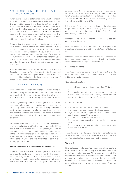## 1.12 RECOGNITION OF DEFERRED DAY 1 PROFIT OR LOSS

When the fair value is determined using valuation models forwhich not all inputs are market observable prices or rates, the Bank initially recognises a financial instrument at the transaction price, which is the best indicator of fair value, although the value obtained from the relevant valuation model may differ. Such a difference between the transaction price and the model value is commonly referred to as "Day 1 profit or loss". The Bank does not recognise that initial difference, immediately in profit or loss.

Deferred Day 1 profit or loss is amortised over the life of the instrument, deferred until fair value can be determined using market observable inputs, or realised through settlement. In all instances any unrecognised Day 1 profit or loss is immediately released to income if fair value of the financial instrument in question can be determined either by using market observable model inputs or by reference to a quoted price for the same product in an active market or upon settlement.

After entering into a transaction, the Bank measures the financial instrument at fair value, adjusted for the deferred Day 1 profit or loss. Subsequent changes in fair value are recognised immediately in the income without reversal of deferred Day 1 profits and losses.

# 1.13 LOANS AND ADVANCES

Loans and advances originated by the Bank, where money is provided directly to the borrower, other than those that are originated with the intent to be sold (if any), in which case they are recorded as held for trading investments securities.

Loans originated by the Bank are recognised when cash is advanced to borrowers. Loans and advances to customers are initially recorded at fair value including any transaction costs, and are subsequently valued at amortised cost using the effective interest rate method. The effective interest rate approximates contract interest rates for loans and advances.

Interest on loans and advances is included in interest income and is recognised on an effective interest rate method. Fees and direct costs relating to a loan origination, financing or restructuring and to loan commitments are treated as part of the cost of the transaction and are deferred and amortised to non interest income over the life of the loan using the term of the contract, unless they are designated as at "fair value through profit and loss."

#### **IMPAIRMENT LOSSES ON LOANS AND ADVANCES**

Expected credit losses ('ECL') are recognised for loans and advances to banks and customers, non-trading reverse repurchase agreements, other financial assets held at amortised cost, debt instruments measured at FVOCI, and certain loan commitments and financial guarantee contracts.

At initial recognition, allowance (or provision in the case of some loan commitments and financial guarantees) is required for ECL resulting from default events that are possible within the next 12 months, or less, where the remaining life is less than 12 months ('12-month ECL').

In the event of a significant increase in credit risk, allowance (or provision) is required for ECL resulting from all possible default events over the expected life of the financial instrument ('lifetime ECL').

Financial assets where 12-month ECL is recognised are considered to be 'stage 1';

Financial assets that are considered to have experienced a significant increase in credit risk are in 'stage 2' (Lifetime  $FCI$ )

Financial assets for which there is objective evidence of impairment so are considered to be in default or otherwise credit impaired are in 'stage 3' ('lifetime ECL').

#### Credit impaired (stage 3)

The Bank determines that a financial instrument is credit impaired and in stage 3 by considering relevant objective evidence, primarily whether:

Quantitative Indicators:

- Loan and interest payments are more than 90 days past due.
- There has been a deterioration in account behavior to a point where drawings are regularly unpaid and the exposure on the account does not fluctuate.

Qualitative guidelines:

- The borrower has been placed under debt review.
- The borrower has been placed in business rescue.
- Legal proceedings vs. Sequestration / Liquidation have been instituted against the borrower.
- The borrower / key individual is deceased.
- The borrower has ceased trading / no longer has an income.
- There are no signs of improvement on an advance already on the bank's watch list.

The definitions of credit impaired and default are aligned as far as possible so that stage 3 represents all loans that are considered defaulted or otherwise credit impaired.

#### **Write-off**

Financial assets (and the related impairment allowances) are normally written off, either partially or in full, when there is no realistic prospect of recovery. Where loans are secured, this is generally after receipt of any proceeds from the realisation of security. In circumstances where the net realisable value of any collateral has been determined and there is no reasonable expectation of further recovery, write-off may be earlier.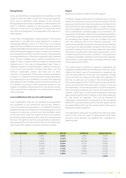#### **Renegotiation**

Loans are identified as renegotiated and classified as credit impaired when the Bank modify the contractual payment terms due to significant credit distress of the borrower. Renegotiated loans remain classified as credit impaired until there is sufficient evidence to demonstrate a significant reduction in the risk of non-payment of future cash flows and retain the designation of renegotiated until maturity or derecognition.

A loan that is renegotiated is derecognised if the existing agreement is cancelled and a new agreement is made on substantially different terms, or if the terms of an existing agreement are modified such that the renegotiated loan is a substantially different financial instrument. Any new loans that arise following derecognition events in these circumstances are considered to be POCI and will continue to be disclosed as renegotiated loans. Other than originated credit-impaired loans, all other modified loans could be transferred out of stage 3 if they no longer exhibit any evidence of being credit impaired and, in the case of renegotiated loans, there is sufficient evidence to demonstrate a significant reduction in the risk of non-payment of future cash flows over the minimum observation period, and there are no other indicators of impairment. These loans could be transferred to stage 1 or 2 based on the mechanism as described below by comparing the risk of a default occurring at the reporting date (based on the modified contractual terms) and the risk of a default occurring at initial recognition (based on the original, unmodified contractual terms). Any amount written off as a result of the modification of contractual terms would not be reversed.

#### **Loan modifications that are not credit impaired**

Loan modifications that are not identified as renegotiated are considered to be commercial restructuring. Where a commercial restructuring results in a modification (whether legalised through an amendment to the existing terms or the issuance of a new loan contract) such that the Bank's rights to the cash flows under the original contract have expired, the old loan is derecognised and the new loan is recognised at fair value. The rights to cash flows are generally considered to have expired if the commercial restructure is at market rates and no payment-related concession has been provided.

#### **Stage 2**

Significant increase in credit risk (SICR) (stage 2)

The Bank manages clients and not individual loans, thus the status of an exposure is driven by the worst status of all the exposures that the client has, hence all accounts linked to the client will have the same staging (stage 1 or stage 2) based on the worse staging of its account. The measurement of stage 2 ECL is a life time ECL whereas, stage 1 is a 12 month ECL. An assessment of whether credit risk has increased significantly since initial recognition is performed at each reporting period by considering the change in the risk of default occurring over the remaining life of the financial instrument. The assessment explicitly or implicitly compares the risk of default occurring at the reporting date compared with that at initial recognition, taking into account reasonable and supportable information, including information about past events, current conditions and future economic conditions. The assessment is unbiased, probability-weighted, and to the extent relevant, uses forward- looking information consistent with that used in the measurement of ECL.

The credit rating of a facility at origination establishes the probability of default (PD) over the lifetime of the loan, which reflects the Bank's view of the perceived or expected risk over the entire lifetime of the loan. Any significant change in the risk of the loan relative to the view as at origination of the loan, in particular an increase in the remaining lifetime PDs, would suggest a SICR. The PD could increase at specific points during the life of the instrument, however, if this was the expectation of the rating evolution at initial recognition then it should be treated as such. Hence, the assessment of whether a SICR has occurred at each subsequent reporting date should be performed in relation to the rating expected for that period at origination. This can be achieved at subsequent measurement by assessing (a) the annualised lifetime PD over the remaining life of the loan against (b) the annualised lifetime PD over the remaining life of the loan as expected at initial recognition.

The table below shows per risk grading the lower and upper limits of PD's that are used to demonstrate SICR when accounts move between risk grading from origination to reporting date.

| <b>RISK GRADING</b> | <b>LOWER PD</b> | <b>MIDPD</b> | <b>UPPER PD</b> | <b>WEIGHTED PD</b> |
|---------------------|-----------------|--------------|-----------------|--------------------|
|                     | $0.00\%$        | 0.68%        | 1.84%           | 0.32%              |
| $\overline{c}$      | 1.84%           | 2.34%        | 9.05%           | 0.06%              |
| 3                   | 9.05%           | 14.92%       | 58.59%          | 0.05%              |
| A                   | $0.00\%$        | 0.33%        | 0.71%           | 0.05%              |
| B                   | 0.71%           | 0.85%        | 1.04%           | 0.14%              |
| С                   | 1.04%           | 1.11%        | 1.65%           | 0.27%              |
| D                   | 1.65%           | 1.74%        | 3.09%           | $0.22\%$           |
| E                   | 3.09%           | 3.99%        | 54.31%          | 0.14%              |
|                     |                 |              |                 | 1.25%              |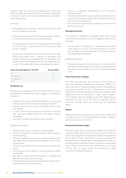However, there are other circumstances that warrant that financial assets are deemed to have suffered a significant increase in credit risk other than defined above and these circumstances are:

In Arrears:

- The capital and/or interest is overdue for more than 1 day but not greater than 89 days.
- All arrears that are more than the percentage as defined in Technical Arrears will be classified as Arrears.
- for exposures with a month end balance less than R1000 the arrears ratio is considered to be technical and will remain in Stage 1.
- for accounts where the month end balance is more than R1000 the arrears ratio is defined by calculating the number of days since last deposit (month end date – last deposit date), and dividing by 30.4375 (average days in a month). The arrears ratio buckets are assigned as below:

| Days since last deposit / 30.4375 | <b>Arrears Ratio</b> |
|-----------------------------------|----------------------|
| <1                                |                      |
| $\geq$ 1 and < 2                  |                      |
| $>= 2$ and $< 3$                  |                      |
| $>= 3$                            |                      |

#### **On Watch List**

An advance is classified as watch list where one or more of the following indicators has been triggered: Quantitative indicators:

- There are early signs of liquidity problems, such as past due loan payments or drawings not being provided for.
- Loans are past due for more than 30 days but not more than 89 days.
- A credit review of the advance is more than 3 months past due and updated financial information remains unavailable.
- The value of collateral provided is under question.

#### Qualitative indicators:

- The borrower is not co-operative or unreachable.
- There is a slowdown or adverse trend in the borrower's business activity.
- There is a volatility in economic or market conditions that may affect the particular borrower directly in the not too distant future.
- The industry in which the borrower operates is performing poorly.
- The borrower or a key person in the borrowing company is in ill health.
- The Bank is aware that the borrower is experiencing difficulty servicing other borrowings.
- The Bank becomes aware of any significant deterioration in the credit record of the borrower.
- There is a significant deterioration in the borrower's financial position.
- The advance has been restructured due to distress and 6 consecutive payments need to be met before the loan is removed from the watch list.
- Any event that is perceived as a change in the risk to the Bank for the worse.

#### **Managed Accounts**

The advance is classified as managed where one or more of the following indicators has been triggered: Quantitative indicators:

• The borrower is adhering to a settlement agreement made order of court for a minimum period of 6 months and the Bank is comfortable with its collateral position should the borrower default.

Qualitative indicator:

• The advance was in the current book or on the watch list yet there was little progress with recovery being made at the relationship manager level due to a relationship break down.

#### **Future Economic variables**

The Bank has procured the services of the Bureau of Economic Research Stellenbosch University (BER) as it does not have an internal economics house. The significant assumptions used for the ECL estimates are set out in the table below. The scenarios base, positive and negative were applied to all loan and advances in stage 1 and in stage 2. The variables were only applied to the PD's determined at reporting date and not on the PD's at origination as the economic variables were not determined at origination dates.

#### **Stage 1**

Advances that don't present any of the above criteria are considered current and are allocated to stage 1. Stage 1 advances, have a 12 month ECL.

#### **Movement between stages**

Financial assets can be transferred between the different categories depending on their relative increase in credit risk since initial recognition. Financial instruments are transferred out of stage 2 if their credit risk is no longer considered to be significantly increased since initial recognition based on the assessments described above. Except for renegotiated loans, financial instruments are transferred out of stage 3 when they no longer exhibit any evidence of credit impairment as described above.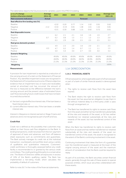The table below depicts the future economic variables used in the IFRS 9 modeling.

| y-o-y % change<br>(unless otherwise stated) | <b>Average</b><br>2014-20 | 2021    | 2022    | 2023  | 2024            | 2025  | 2026  | <b>Average over</b><br>2021-26 |
|---------------------------------------------|---------------------------|---------|---------|-------|-----------------|-------|-------|--------------------------------|
| <b>Main economic indicators</b>             | <b>Actual</b>             |         |         |       | <b>Forecast</b> |       |       |                                |
| Real effective firm lending rate (%)        |                           |         |         |       |                 |       |       |                                |
| <b>Baseline</b>                             |                           | $-0.32$ | 0.20    | 0.77  | 1.14            | 1.02  | 0.91  | 0.62                           |
| Negative                                    | 2.12                      | $-0.34$ | $-0.19$ | 0.81  | 1.48            | 1.61  | 1.52  | 0.81                           |
| Positive                                    |                           | $-0.31$ | 0.30    | 0.88  | 1.15            | 0.92  | 0.72  | 0.61                           |
| Real disposable income                      |                           |         |         |       |                 |       |       |                                |
| <b>Baseline</b>                             |                           | 6.2     | 2.1     | 2.1   | 1.8             | 1.9   | 1.9   | 2.7                            |
| Negative                                    | 0.7                       | 6.2     | 0.8     | 1.5   | 1.1             | 1.2   | 1.3   | 2.0                            |
| Positive                                    |                           | 6.5     | 2.9     | 2.8   | 2.5             | 2.5   | 2.5   | 3.3                            |
| Real gross domestic product                 |                           |         |         |       |                 |       |       |                                |
| <b>Baseline</b>                             |                           | 4.9     | 2.3     | 2.0   | 1.8             | 2.0   | 2.1   | 2.5                            |
| Negative                                    | $-0.3$                    | 4.7     | 0.2     | 1.4   | 0.7             | 1.1   | 1.1   | 1.5                            |
| Positive                                    |                           | 5.0     | 3.4     | 3.0   | 2.7             | 3.0   | 3.0   | 3.4                            |
| <b>Scenario Weighting</b>                   |                           |         |         |       |                 |       |       |                                |
| <b>Baseline</b>                             |                           | 49.6%   | 49.6%   | 49.6% | 49.6%           | 49.6% | 49.6% | 49.6%                          |
| Negative                                    |                           | 28.9%   | 28.9%   | 28.9% | 28.9%           | 28.9% | 28.9% | 28.9%                          |
| Positive                                    |                           | 21.5%   | 21.5%   | 21.5% | 21.5%           | 21.5% | 21.5% | 21.5%                          |
| Weighting                                   |                           |         |         |       |                 |       |       | 100%                           |

#### **Measurement**

A provision for loan impairment is reported as a reduction of the carrying amount of a claim on the Statement of Financial Position. Any identified impairment losses are recognised in the Statement of Comprehensive Income. If there is objective evidence that an impairment loss on loans and receivables carried at amortised cost has occurred, the amount of the loss is measured as the difference between the loan's carrying amount and the present value of estimated future cash flows (excluding future credit losses that have not been incurred) discounted at:

- a) the loan's original effective interest rate, if the loan bears a fixed interest rate, or
- b) current effective interest rate, if the loan bears a variable interest rate.

Interest in Abeyance is interest earned on Stage 3 loans and advances and is not recognised as part of profit and loss.

#### **Credit Risk**

Credit risk is defined as the possibility that customers may default on their future cash flow obligations to the Bank. In lending transactions, credit risk arises from the non-payment of approved of loans and advances, and from off-balance sheet exposures such as commitments and guarantees. The Bank actively manages its credit risk at the Individual transaction, counterparty and portfolio level using a variety of qualiltative and quantitative measures. Customers' credit worthiness is thoroughly assessed before any credit facility is recommended to or granted by the various credit committees. The credit granting philosophy Is a conservative one. The Board of Directors ratifies all exposures in excess of 10% of the Bank's qualifying capital. The Bank has implemented a risk-rating model, which calculates the probability of default of customers.

### 1.14 DERECOGNITION

#### **1.14.1 FINANCIAL ASSETS**

A financial asset (or, where applicable a part of a financial asset or part of a bank of similar financial assets) is derecognised when:

- The rights to receive cash flows from the asset have expired;
- The Bank retains the right to receive cash flows from the asset, but has assumed an obligation to pay them in full without material delay to a third party under a 'pass through' arrangement; or
- The Bank has transferred its rights to receive cash flows from the asset and either (a) has transferred substantially all the risks and rewards of the asset, or (b) has neither transferred nor retained substantially all the risks and rewards of the asset, but has transferred control of the asset.

When the Bank has transferred its rights to receive cash flows from an asset and has neither transferred nor retained substantially all the risks and rewards of the asset nor transferred control of the asset, the asset is recognised to the extent of the Bank's continuing involvement in the asset.

Continuing involvement that takes the form of a guarantee over the transferred asset is measured at the lower of the original carrying amount of the asset and the maximum amount of consideration that the Bank could be required to repay.

As part of its activities, the Bank securities certain financial assets, generally through the sale of these assets to special purposes entities, which issue securities collateralised with these assets.

Refer to note 26.7 in the notes of the financial statements.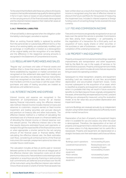To the extent that the Bank sells these securities to third party investors, the transferred assets may qualify for derecognition in full or in part. Gains or losses on securitisations are based on the carrying amount of the financial assets derecognised and the retained interest, based on their relative fair values at the date of the transfer.

#### **1.14.2 FINANCIAL LIABILITIES**

A financial liability is derecognised when the obligation under the liability is discharged, cancelled or expired.

When an existing financial liability is replaced by another from the same lender on substantially different terms, or the terms of an existing liability are substantially modified, such an exchange or modification is treated as a derecognition of the original liability and the recognition of a new liability, and the difference in the respective carrying amounts is recognised in the Statement of Comprehensive Income.

# 1.15 REGULAR WAY PURCHASES AND SALES

"Regular way" purchases and sales of financial assets and liabilities (that is, those that require delivery within the time frame established by regulation or market convention) are recognised on the settlement date apart from trading and investment securities and derivative financial instruments, which are recognised on the trade date, which is the date that the Bank commits to purchase or sell the asset. Other purchases and sales of trading securities are treated as derivatives until settlement occurs.

# 1.16 INTEREST INCOME AND EXPENSE

Interest income and expense are recognised in the Statement of Comprehensive Income for all interest bearing financial instruments using the effective interest rate method. Interest income includes interest on loans and advances to customers, coupons earned on fixed income investment and trading securities and accrued discount and premium on treasury bills and other instruments. The effective interest method is a method of calculating the amortised cost of a financial asset or a financial liability and of allocating the interest income or interest expense over the relevant period. The effective interest rate is the rate that exactly discounts estimated future cash payments or receipts through the expected life of the financial instrument or, when appropriate, a shorter period to the net carrying amount of the financial asset or financial liability. When calculating the effective interest rate, the Bank estimates cash flows, considering all contractual terms of the financial instrument (for example, prepayment options) but does not consider future credit losses.

The calculation includes all fees at points paid or received between parties to the contract that are an integral part of the effective interest rate, transaction costs and all other premiums or discounts. Fees and direct costs relating to a loan origination or acquiring a security, financing or restructuring loan commitments are deferred and amortised over the life of the instrument using the effective interest rate method. Once a financial asset or a bank of similar financial assets has been written down as a result of an impairment loss, interest income is recognised using the rate of effective interest to discount the future cashflows for the purpose of measuring the impairment loss. Included in interest expense is foreign funding costs of converting foreign funds received into local currency.

## 1.17 FEE AND COMMISSION INCOME

Fees and commissions are generally recognised on an accrual basis over the period the service is provided. Commissions and fees arising from negotiating  $-$  or participating in the negotiation of a transaction for a third party, such as acquisition of loans, equity shares or other securities or the purchase or sale of businesses – are recognised upon completion of the underlying transaction.

## 1.18 PROPERTY AND EQUIPMENT

Property and equipment include land and buildings, leasehold improvements and transportation and other equipment, held by the Bank for use in the supply of services or for administrative purposes. Property and equipment are initially recorded at cost, which includes all costs that are required to bring an asset into operating condition.

Subsequent to initial recognition, property and equipment excluding Land are measured at cost less accumulated depreciation and accumulated impairment losses. Costs incurred subsequent to the acquisition of an asset, which is classified as property and equipment are capitalised, only when it is probable that they will result in future economic benefits to the Bank beyond those originally anticipated for the asset, otherwise they are expensed as incurred. Land and Buildings are subsequently measured, using the revaluation model, at its fair value less accumulated depreciation and impairment losses.

Land and Buildings are revalued annually by an independent valuator using market observable data and sufficiently recent similar market transactions.

Depreciation of an item of property and equipment begins when it is available for use and ceases only when the asset is derecognised. Therefore, the depreciation of an item of property and equipment that is retired from active use does not cease unless it is fully depreciated, but its useful life is reassessed. Property and equipment are depreciated on a straight-line basis over their estimated useful lives as follows:

| $L$ and                            | No depreciation                                |
|------------------------------------|------------------------------------------------|
| Buildings used in operations       | not exceeding 20 years                         |
| Leasehold Improvements             | Residual lease term, not<br>exceeding 10 years |
| Furniture and related<br>equipment | not exceeding 10 years                         |
| Motor vehicles                     | not exceeding 5 years                          |
| Hardware and other<br>equipment    | not exceeding 5 years                          |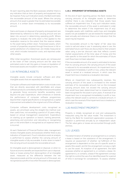At each reporting date the Bank assesses whether there is any indication that an item of property and equipment may be impaired. If any such indication exists, the Bank estimates the recoverable amount of the asset. Where the carrying amount of an asset is greater than its estimated recoverable amount, it is written down immediately to its recoverable amount.

Gains and losses on disposal of property and equipment are determined by reference to their carrying amount and are taken into account in determining operating profit. Where property is revalued, the write down is first applied to the revaluation reserve to the extent that the reserve relates to the asset being written down. Foreclosed assets, which consist of properties acquired through foreclosure in full or partial satisfaction of a related loan, are initially measured at cost, which includes transaction costs, and reported under other assets.

After initial recognition, foreclosed assets are remeasured at the lower of their carrying amount and fair value less estimated costs to sell. Any gains or losses on liquidation of foreclosed assets are included in other operating income.

## 1.19 INTANGIBLE ASSETS

Intangible assets include computer software and other intangible assets that are separately identifiable.

Computer software and implementation costs include costs that are directly associated with identifiable and unique software products controlled by the Bank that are anticipated to generate future economic benefits exceeding costs beyond one year. Expenditure, which enhances or extends the performance of computer software programmes beyond their original specifications is recognised as a capital improvement and added to the original cost of the software.

Computer software development costs recognised as assets, are amortised using the straight-line method over their useful lives, not exceeding a period of 10 years rolling, based on annual management assessment. Expenditure on starting up an operation or branch, training personnel, advertising and promotion and relocating or reorganising part or the entire Bank is recognised as an expense when it is incurred.

At each Statement of Financial Position date, management reviews intangible assets and assesses whether there is any indication of impairment. If such indications exist an analysis is performed to assess whether the carrying amount of intangible assets is fully recoverable. A write-down is made if the carrying amount exceeds the recoverable amount.

An intangible asset is derecognised on disposal, or when no future economic benefits are expected from use or disposal. Gains or losses arising from derecognition of an intangible asset, measured as the difference between the net disposal proceeds and the carrying amount of the asset, are recognised as a profit or loss when the asset is derecognised.

#### **1.19.1 IMPAIRMENT OF INTANGIBLE ASSETS**

At the end of each reporting period, the Bank reviews the carrying amounts of its intangible assets to determine whether there is any indication that those assets have suffered an impairment loss. If any such indication exists, the recoverable amount of the asset is estimated in order to determine the extent if the impairment loss (if any). Intangible assets with indefinite useful lives and intangible assets not yet available for use are tested for impairment at least annually and whenever there is an indication that the asset may be impaired.

The recoverable amount is the higher of fair value less costs to sell and value in use. In assessing value in use, the estimated future cash flows are discounted to their present value using a pre-tax discount rate that reflects current market assessments of the time value of money and the risks specific to the asset for which the estimates of future cash flows have not been adjusted.

If the recoverable amount of an asset is estimated to be less than its carrying amount, the carrying amount of the asset is reduced to its recoverable amount. An impairment loss is recognised immediately in profit or loss, unless the relevant asset is carried at a revalued amount, in which case the impairment loss is treated as a revaluation decrease.

Where an impairment loss subsequently reverses, the carrying amount of the asset is increased to the revised estimate of its recoverable amount, but so the increased carrying amount does not exceed the carrying amount that would have been determined had no impairment loss been recognised for the asset in prior years. A reversal of an impairment loss is recognised immediately in profit or loss, unless the relevant asset is carried at a revalued amount, in which case the reversal of the impairment loss is treated as a revaluation increase.

# 1.20 INVESTMENT PROPERTY

Property is initially recognised at cost and subsequently measured using the fair value model. The investment is held by the Bank for investment appreciation purposes. A valuation is performed annually by an independent valuer. The fair value gains or losses are accounted through profit and loss.

#### 1.21 LEASES

The determination of whether an arrangement is or contains a lease is based on the substance of the arrangement. It requires an assessment of whether: (a) fulfilment of the arrangement is dependent on the use of a specific asset or assets (the asset); and (b) the arrangement conveys a right to use the asset. At inception of an agreement, the bank assesses whether an agreement is, or contains, a lease. An agreement is, or contains, a lease if the agreement conveys the right to control the use of an identified asset for a period of time in exchange for consideration. To assess whether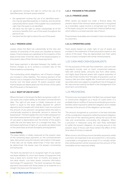an agreement conveys the right to control the use of an identified asset, the bank assess whether:

- the agreement involves the use of an identified asset this may be specified explicitly or implicitly, and should be a physically distinct asset. If the supplier has a substantive right, then the asset is not identified
- the bank has the right to obtain substantially all of the economic benefits from use of the asset throughout the period of use
- the bank has the right to direct the use of the asset.

#### **1.21.1 FINANCE LEASE:**

Leases where the Bank has substantially all the risks and rewards of ownership of the asset are classified as finance leases. Finance leases are capitalised at the inception of the lease at the lower of the fair value of the leased property or the present value of the minimum lease payments.

Each lease payment is allocated between the liability and finance charges so as to achieve a constant rate on the finance balance outstanding.

The outstanding rental obligations, net of finance charges, are included in other liabilities. The interest element of the finance cost is charged to the Statement of Comprehensive Income over the lease period. All assets acquired under finance leases are depreciated over the shorter of the useful life of the asset or the lease term.

#### **1.21.2 RIGHT OF USE OF ASSET**

Where the bank is the lessee the Bank recognises a right-ofuse asset and a lease liability at the lease commencement date. The right-of-use asset is initially measured at cost (which is equal to the lease liability adjusted for upfront deposits) and increased with initial direct costs incurred and the amount of any provision recognised where the bank is contractually required to dismantle, remove or restore the leased asset. The bank applies the cost model subsequent to the initial measurement of the right-of-use asset. The rightof-use asset is depreciated over the shorter of the asset's useful life and the lease term on a straight-line basis. The estimated useful lives of right-of-use assets are determined on the same basis as those of property and equipment.

#### **Lease liability**

The lease liability is initially measured at the present value of the remaining lease payments on the commencement date, discounted using the interest rate implicit in the lease, if that rate can be readily determined. If that rate cannot be determined, the lessee uses the lessee's incremental borrowing rate.

The bank has elected not to recognise right-of-use assets and lease liabilities for short-term leases of equipment that have a lease term shorter than 12 months and leases of low-value assets. Low-value assets comprise information technology (IT) equipment. The bank recognises the lease payments associated with these leases as an expense on a straight-line basis over the lease term.

#### **1.21.3 THE BANK IS THE LESSOR**

#### **1.21.3.1 FINANCE LEASE:**

When assets are leased out under a finance lease, the present value of the minimum lease payments is recognised as a receivable. Lease income is recognised over the term of the lease using the net investment method (before tax), which reflects a constant periodic rate of return.

Finance lease receivables are included in loans and advances to customers.

#### **1.21.3.2 OPERATING LEASE:**

Fixed assets leased out under right of use of assets are included in the statement of financial position based on the nature of the asset. They are depreciated over their useful lives on a basis consistent with similar owned property.

# 1.22 CASH AND CASH EQUIVALENTS

For the purposes of the cash flow statement, cash and cash equivalents include: cash on hand, unrestricted balances held with central banks, amounts due from other banks, and highly liquid financial assets with original maturities of less than three months from the date of acquisition such as treasury bills and other eligible bills, investment and trading securities which are subject to insignificant risk of changes to fair value and are used by the Bank in the management of its short term commitments.

# 1.23 PROVISIONS

Provisions are recongised when the Bank has a present legal or constructive obligation as a result of a past event, it is probable that an outflow of resources embodying economic benefits will be required to settle the obligation and a reliable estimate of the amount of the obligation can be made.

The amount recognised as a provision is the best estimate of the consideration required to settle the present obligation at the end of the reporting period, taking into account the risks and uncertainties surrounding the obligation. When a provision is measured using the cash flows estimated to settle the present obligation, its carrying amount is the present value of those cash flows (where the effect of the time value of money is material).

When some or all of the economic benefits required to settle a provision are expected to be recovered from a third party, a receivable is recognised as an asset if it is virtually certain that reimbursement will be received and the amount of the receivable can be measured reliably.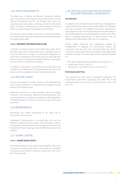# 1.24 EMPLOYEE BENEFITS

The Bank has a defined contribution retirement benefit plan in accordance with Section 12(4) of the Pension Funds second Amendment Act No. 39 of 2001. Such plans are classified as pension plans or other post-retirement benefit plans. Company contributions to the retirement fund are based on a percentage of employees' remuneration.

The minimum percentage contribution is recommended by the independent actuaries. Retirement benefits are provided for all permanent staff.

#### **1.24.1 DEFINED CONTRIBUTION PLANS**

A defined contribution plan is a provident plan under which the Bank pays fixed contributions into a separate entity (a fund) and will have no legal or constructive obligations to pay further contributions if the fund does not hold sufficient assets to pay all employees' benefits relating to employee service in the current and prior periods.

The Bank's contributions to defined contribution plans are charged to the Statement of Comprehensive Income in the year to which they relate and are included in staff costs.

#### 1.25 INCOME TAXES

Income tax payable on profits, based on the applicable tax laws in each jurisdiction, is recognised as an expense in the period in which profits arise.

Deferred income tax is fully provided, using the liability method, on all temporary differences arising between the carrying amounts of assets and liabilities in the Statement of Financial Position and their amounts as measured for tax purposes.

## 1.26 BORROWINGS

Borrowings are initially recognised at fair value net of transaction costs incurred.

Subsequent measurement is at amortised cost and any difference between net proceeds. The redemption value is recognised in the Statement of Comprehensive Income over the period of the borrowings using the effective interest rate method.

# 1.27 SHARE CAPITAL

#### **1.27.1 SHARE ISSUE COSTS:**

Incremental external costs directly attributable to the issue of shares and other equity items, other than on a business combination, are shown in equity as a deduction, net of tax, from the proceeds.

### 1.28 CRITICAL ACCOUNTING ESTIMATES, ASSUMPTIONS AND JUDGEMENTS

#### **Introduction**

In preparing the annual financial statements, management makes estimates and assumptions that affect the reported amounts of assets and liabilities. Estimates, assumptions and judgements are continually evaluated and are based on historical experience use of independent experts and other factors, including expectations of future events that are believed to be reasonable under the circumstances.

Unless stated otherwise the judgements applied by management in applying the accounting policies are consistent with the prior year. Included below are all the critical accounting estimates, assumptions and judgements made by the Bank. The assumptions and estimates applied for;

- fair value measurement is included in note 25 and 1.11
- impairments note 11 and 1.13
- investment in securities note 4, note 9 and 1.9

#### **Estimated useful lives**

The useful life of each asset is assessed individually. The benchmarks used when assessing the useful life of the individual assets are set out in accounting policy note 1.18 and 1.19.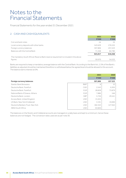# Notes to the Financial Statements

Financial Statements for the year ended 31 December 2021

# 2. CASH AND CASH EQUIVALENTS

|                                                                                       | 2021         | 2020         |
|---------------------------------------------------------------------------------------|--------------|--------------|
|                                                                                       | <b>R'000</b> | <b>R'000</b> |
| Coin and bank notes                                                                   | 24           | 33           |
| Local currency deposits with other banks                                              | 543.629      | 276.532      |
| Foreign currency balances                                                             | 307.806      | 257.223      |
| Balances with the Central Bank                                                        | 71.558       | 84,780       |
|                                                                                       | 923,017      | 618,568      |
| The mandatory South African Reserve Bank reserve requirement is included in the above |              |              |
| figures.                                                                              | 59.970       | 54.533       |

Banks are required to keep a mandatory average balance with the Central Bank. According to the Bank Act, 2.5% of the Bank's liabilities as adjusted should be maintained therefore no withdrawal below the agreed level should be allowed to this account. The balance earns interest at 0%.

|                                  |            | 2021         | 2020         |
|----------------------------------|------------|--------------|--------------|
|                                  |            | <b>R'000</b> | <b>R'000</b> |
| <b>Foreign currency balances</b> |            | 307,806      | 257 223      |
| Stanbic Bank Botswana            | <b>BWP</b> | 8            | 10           |
| Deutsche Bank, Frankfurt         | CAD        | 2.543        | 6,305        |
| Deutsche Bank, Frankfurt         | <b>EUR</b> | 28,828       | 73,879       |
| National Bank of Greece. Athens  | <b>EUR</b> | 7,886        | 546          |
| Deutsche Bank, London            | <b>GBP</b> | 5,726        | 29,541       |
| Access Bank, United Kingdom      | <b>USD</b> | 13,455       |              |
| US Bank, New York (Collateral)   | <b>USD</b> | 3.191        | 19,000       |
| Deutsche Bankers Trust. New York | <b>USD</b> | 182,343      | 127,942      |
| <b>ABSA South Africa</b>         | <b>USD</b> | 63,826       |              |

The balances on the Nostro and Collateral accounts are managed on a daily basis and kept to a minimum, hence these balances are not hedged. The conversion rates used are as per note 30.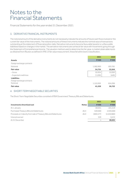Financial Statements for the year ended 31 December 2021

## 3. DERIVATIVE FINANCIAL INSTRUMENTS

The notional amount of the derivative instruments do not necessarily indicate the amounts of future cash flows involved or the current fair value of the instruments. The notional amounts of these instruments indicate the nominal value of transactions outstanding at the statement of financial position date. Derivative instruments become favourable (assets) or unfavourable (liabilities) based on changes in the market. The derivative instruments are carried at fair value with movements going through the Statement of Comprehensive Income. The valuation method used to determine the fair value, is market observable inputs as obtained from Reuters as defined in IFRS 13 fair value measurement, these fall within level 2 classification.

|                                                              | 2021         | 2020         |
|--------------------------------------------------------------|--------------|--------------|
| <b>Assets</b>                                                | <b>R'000</b> | <b>R'000</b> |
| Foreign exchange contracts                                   |              |              |
| Notional                                                     | 1,582,900    | 503,781      |
| <b>Fair value</b>                                            | 54,734       | 52,644       |
| - Gross                                                      | 55,934       | 53,093       |
| - Expected credit loss                                       | (1,200)      | (449)        |
| <b>Liabilities</b><br>Foreign exchange contracts<br>Notional | 1,122,093    | 624.396      |
| <b>Fair value</b>                                            | 41,528       | 56,722       |

### 4. SHORT-TERM NEGOTIABLE SECURITIES

The Short-Term Negotiable Securities consisted of RSA Government Treasury Bills and Debentures.

|                                                                 |              | 2021         | 2020         |
|-----------------------------------------------------------------|--------------|--------------|--------------|
| <b>Investments Amortised cost</b>                               | <b>Notes</b> | <b>R'000</b> | <b>R'000</b> |
| At 1 January                                                    |              | 60.051       | 221.519      |
| Purchased Treasury Bills and Debentures                         | 26.3         | 630,000      | 2.035.000    |
| Proceeds on maturity from sale of Treasury Bills and Debentures | 26.3         | (690.577)    | (2,202,880)  |
| Interest earned                                                 |              | 526          | 6.412        |
| At 31 December                                                  |              |              | 60,051       |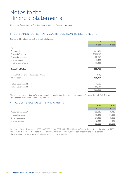Financial Statements for the year ended 31 December 2021

## 5. GOVERNMENT BONDS - FAIR VALUE THROUGH COMPREHENSIVE INCOME

Goverment bonds comprise the following balances :

|                                            | 2021         | 2020         |
|--------------------------------------------|--------------|--------------|
|                                            | <b>R'000</b> | <b>R'000</b> |
|                                            |              |              |
|                                            | 881,461      |              |
| Proceeds from sale                         | (760, 890)   |              |
|                                            | (4, 438)     |              |
|                                            | 9,320        |              |
| Profit on sale of bond                     | 10,258       |              |
|                                            | 135,711      |              |
| IFRS 9 Mark to Market valuation adjustment | (649)        |              |
| At 31 December                             | 135,062      |              |
| R2035 Government Bonds                     | 46,515       |              |
| R2037 Government Bonds                     | 88,547       |              |
|                                            | 135,062      |              |

These bonds are classified as fair value through comprehensive income and are carried at fair value through OCI. The nominal value of the Government bonds is R150million.

### 6. ACCOUNTS RECEIVABLE AND PREPAYMENTS

|                      | 2021         | 2020         |
|----------------------|--------------|--------------|
|                      | <b>R'000</b> | <b>R'000</b> |
| Accounts receivable* | 22,035       | 8.938        |
| Prepaid Expenses     | 19,248       | 11,089       |
| Other receivables    | 37,322       | 8.061        |
| Interest accrued     | 2.238        | 941          |
|                      | 80,843       | 29,029       |

Included in Prepaid Expenses is R750,000 (2020:R1,500,000) paid to Meraki Capital (Pty) Ltd for facilitating the raising of R150 million Institutional Loan. See note 19. The amortised fee has been included as part of operational fee expenses. \*Refer to note 22.4 for expected credit loss, on accounts receivable.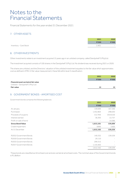Financial Statements for the year ended 31 December 2021

## 7. OTHER ASSETS

| 2021         | 2020         |
|--------------|--------------|
| <b>R'000</b> | <b>R'000</b> |
| 2,401        | $-$          |

### 8. OTHER INVESTMENTS

Other investments relate to an investment acquired 15 years ago in an unlisted company, called Dandyshelf 3 (Pty)Ltd.

The investment acquired consists of 100 shares in the Dandyshelf 3 (Pty) Ltd. No dividend was received during 2021 or 2020.

The shares are unlisted, and the Directors' valuation of the unlisted investment equates to the fair value which approximates cost as defined in IFRS 13 fair value measurement, these fall within level 3 classification.

|                                              | 2021         | 2020         |
|----------------------------------------------|--------------|--------------|
|                                              | <b>R'000</b> | <b>R'000</b> |
| <b>Financial asset carried at fair value</b> |              |              |
| Unlisted - Dandyshelf 3 (Pty) Ltd            |              |              |
| <b>Fair value</b>                            | 15           | 15           |

### 9. GOVERNMENT BONDS - AMORTISED COST

Government bonds comprise the following balances:

| 2021         | 2020         |
|--------------|--------------|
| <b>R'000</b> | <b>R'000</b> |
| 139,699      | 167,346      |
| 1,452,864    | 298,630      |
| (15, 794)    | (354, 610)   |
| 36,393       | 13,737       |
|              | 14,596       |
| 1,613,161    | 139,699      |
| (999)        | (160)        |
| 1,612,162    | 139,539      |
| 140,332      | 139,539      |
| 29,110       |              |
| 299,315      |              |
| 1,143,405    |              |
| 1,612,162    | 139.539      |

 These bonds are classified as Amortised cost and are carried at amortised costs. The nominal value of the Government bonds is R1,8billion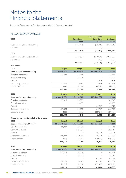Financial Statements for the year ended 31 December 2021

## 10. LOANS AND ADVANCES

|                                        |                  |                            | <b>Expected Credit</b>              |                  |
|----------------------------------------|------------------|----------------------------|-------------------------------------|------------------|
| 2021                                   |                  | <b>Gross Loans</b>         | <b>Loss (ECL)</b>                   | <b>Net Loans</b> |
|                                        |                  | <b>R'000</b>               | <b>R'000</b>                        | <b>R'000</b>     |
| <b>Business and Commercial Banking</b> |                  | 1,676,475                  | (61.460)                            | 1,615,015        |
| Guarantees                             |                  |                            | (3)                                 | (3)              |
|                                        |                  | 1,676,475                  | (61, 463)                           | 1,615,012        |
| 2020                                   |                  |                            |                                     |                  |
| <b>Business and Commercial Banking</b> |                  | 2,058,387                  | (114, 578)                          | 1,943,809        |
| Guarantees                             |                  |                            | (157)                               | (157)            |
|                                        |                  | 2,058,387                  | (114, 735)                          | 1,943,652        |
| <b>Overdrafts</b>                      |                  |                            |                                     |                  |
| 2021                                   | Stage 1          | <b>Stage 2</b>             | Stage 3                             | <b>Total</b>     |
| Loan product by crodit quality         | $12$ month $ECI$ | $l$ if $\alpha$ time $ECl$ | $l$ if $\lambda$ im $\lambda$ $ECl$ | D'OOO            |

| Loan product by credit quality | 12 month ECL             | <b>Lifetime ECL</b>      | <b>Lifetime ECL</b>      | <b>R'000</b> |
|--------------------------------|--------------------------|--------------------------|--------------------------|--------------|
| Standard monitoring            | 111.087                  | 32.068                   | $\overline{\phantom{0}}$ | 143,155      |
| Special monitoring             | $\qquad \qquad$          | 17.094                   | $\qquad \qquad$          | 17.094       |
| Default                        | $\overline{\phantom{0}}$ | $\overline{\phantom{a}}$ | 8.898                    | 8.898        |
| Gross carrying amount          | 111.087                  | 49.162                   | 8.898                    | 169.147      |
| Loss allowance                 | (596)                    | (1.699)                  | (6.229)                  | (8,524)      |
|                                | 110.491                  | 47,463                   | 2,669                    | 160,623      |

| 2020                           | Stage 1                  | Stage 2                  | Stage 3             | <b>Total</b> |
|--------------------------------|--------------------------|--------------------------|---------------------|--------------|
| Loan product by credit quality | 12 month ECL             | <b>Lifetime ECL</b>      | <b>Lifetime ECL</b> | <b>R'000</b> |
| Standard monitoring            | 157.823                  | 25.823                   |                     | 183,646      |
| Special monitoring             | $\overline{\phantom{0}}$ | 20.433                   |                     | 20,433       |
| Default                        | $\overline{\phantom{a}}$ | $\overline{\phantom{a}}$ | 54.717              | 54,717       |
| Gross carrying amount          | 157,823                  | 46.256                   | 54.717              | 258.796      |
| Loss allowance                 | (830)                    | (908)                    | (52, 724)           | (54, 462)    |
|                                | 156,993                  | 45,348                   | 1,993               | 204,334      |

| .                              |              |                     |                          |              |
|--------------------------------|--------------|---------------------|--------------------------|--------------|
| 2021                           | Stage 1      | Stage 2             | Stage 3                  | <b>Total</b> |
| Loan product by credit quality | 12 month ECL | <b>Lifetime ECL</b> | <b>Lifetime ECL</b>      | <b>R'000</b> |
| Standard monitoring            | 455.227      | 59.706              | $\overline{\phantom{a}}$ | 514,933      |
| Special monitoring             |              | 181.032             | $\overline{\phantom{m}}$ | 181,032      |
| Default                        | -            | $\sim$              | 56,021                   | 56,021       |
| Gross carrying amount          | 455.227      | 240.738             | 56.021                   | 751.986      |
| Loss allowance                 | (897)        | (2.793)             | (17.621)                 | (21, 311)    |
|                                | 454.330      | 237,945             | 38,400                   | 730,675      |

| 2020                           | Stage 1                  | Stage 2                  | Stage 3                  | <b>Total</b> |
|--------------------------------|--------------------------|--------------------------|--------------------------|--------------|
| Loan product by credit quality | 12 month ECL             | <b>Lifetime ECL</b>      | <b>Lifetime ECL</b>      | <b>R'000</b> |
| Standard monitoring            | 612.229                  | 94,612                   | $\overline{\phantom{0}}$ | 706,841      |
| Special monitoring             | $\overline{\phantom{a}}$ | 99.416                   | $-$                      | 99.416       |
| Default                        | $\overline{\phantom{a}}$ | $\overline{\phantom{a}}$ | 65.647                   | 65,647       |
| Gross carrying amount          | 612.229                  | 194.028                  | 65.647                   | 871.904      |
| Loss allowance                 | (1.519)                  | (1.574)                  | (16, 143)                | (19, 236)    |
|                                | 610.710                  | 192.454                  | 49.504                   | 852,668      |

**Property, commercial and other term loans**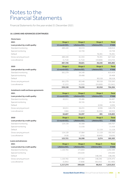Financial Statements for the year ended 31 December 2021

### **10. LOANS AND ADVANCES (CONTINUED)**

| <b>Home loans</b>              |                |                     |                     |              |
|--------------------------------|----------------|---------------------|---------------------|--------------|
| 2021                           | <b>Stage 1</b> | <b>Stage 2</b>      | Stage 3             | <b>Total</b> |
| Loan product by credit quality | 12 month ECL   | <b>Lifetime ECL</b> | <b>Lifetime ECL</b> | <b>R'000</b> |
| Standard monitoring            | 489,440        | 50,574              |                     | 540,014      |
| Special monitoring             |                | 10,759              |                     | 10,759       |
| Default                        |                |                     | 76,391              | 76,391       |
| Gross carrying amount          | 489,440        | 61,333              | 76,391              | 627,164      |
| Loss allowance                 | (1,714)        | (1,712)             | (19, 846)           | (23, 272)    |
|                                | 487,726        | 59,621              | 56,545              | 603,892      |
|                                |                |                     |                     |              |
| 2020                           | <b>Stage 1</b> | <b>Stage 2</b>      | Stage 3             | <b>Total</b> |
| Loan product by credit quality | 12 month ECL   | <b>Lifetime ECL</b> | <b>Lifetime ECL</b> | <b>R'000</b> |
| Standard monitoring            | 561,279        | 54,140              |                     | 615,419      |
| Special monitoring             |                | 29,408              |                     | 29,408       |
| Default                        |                |                     | 90,518              | 90,518       |
| Gross carrying amount          | 561,279        | 83,548              | 90,518              | 735,345      |
| Loss allowance                 | (2, 121)       | (4,320)             | (24,600)            | (31,041)     |
|                                | 559,158        | 79,228              | 65,918              | 704,304      |

| 2021                           | <b>Stage 1</b>      | <b>Stage 2</b>      | Stage 3             | <b>Total</b> |
|--------------------------------|---------------------|---------------------|---------------------|--------------|
| Loan product by credit quality | 12 month ECL        | <b>Lifetime ECL</b> | <b>Lifetime ECL</b> | <b>R'000</b> |
| Standard monitoring            | 65,011              | 29,486              |                     | 94,497       |
| Special monitoring             |                     | 26,745              |                     | 26,745       |
| Default                        |                     |                     | 6,936               | 6,936        |
| Gross carrying amount          | 65.011              | 56,231              | 6,936               | 128,178      |
| Loss allowance                 | (184)               | (1,634)             | (6, 535)            | (8,353)      |
|                                | 64,827              | 54,597              | 401                 | 119,825      |
| 2020                           | Stage 1             | <b>Stage 2</b>      | Stage 3             | <b>Total</b> |
| Loan product by credit quality | 12 month ECL        | <b>Lifetime ECL</b> | <b>Lifetime ECL</b> | <b>R'000</b> |
| Standard monitoring            | 124,139             | 45,568              |                     | 169,707      |
| Special monitoring             |                     | 11,516              |                     | 11,516       |
| Default                        |                     |                     | 11,119              | 11,119       |
| Gross carrying amount          | 124,139             | 57,084              | 11,119              | 192,342      |
| Loss allowance                 | (418)               | (576)               | (8,845)             | (9,839)      |
|                                | 123,721             | 56,508              | 2,274               | 182,503      |
| <b>Loans and advances</b>      |                     |                     |                     |              |
| 2021                           | Stage 1             | <b>Stage 2</b>      | Stage 3             | <b>Total</b> |
| Loan product by credit quality | <b>Lifetime ECL</b> | <b>Lifetime ECL</b> | <b>Lifetime ECL</b> | <b>R'000</b> |
| Standard monitoring            | 1,120,765           | 171,834             |                     | 1,292,599    |
| Special monitoring             |                     | 235,630             |                     | 235,630      |
| Default                        |                     |                     | 148,246             | 148,246      |
| Gross carrying amount          | 1,120,765           | 407,464             | 148,246             | 1,676,475    |

Loss allowance (3,391) (7,838) (50,231) (61,460)

 **1,117,374 399,626 98,015 1,615,015**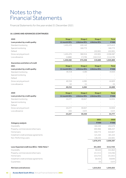Financial Statements for the year ended 31 December 2021

### **10. LOANS AND ADVANCES (CONTINUED)**

| 2020                           | Stage 1      | Stage 2             | Stage 3             | <b>Total</b> |
|--------------------------------|--------------|---------------------|---------------------|--------------|
| Loan product by credit quality | 12 month ECL | <b>Lifetime ECL</b> | <b>Lifetime ECL</b> | <b>R'000</b> |
| Standard monitoring            | 1.455.470    | 220.143             | $\qquad \qquad =$   | 1,675,613    |
| Special monitoring             |              | 160.773             |                     | 160.773      |
| Default                        |              |                     | 222.001             | 222,001      |
| Gross carrying amount          | 1,455,470    | 380.916             | 222.001             | 2.058.387    |
| Loss allowance                 | (4,888)      | (7.378)             | (102.312)           | (114, 578)   |
|                                | 1,450,582    | 373,538             | 119.689             | 1,943,809    |

| <b>Guarantees and letters of credit</b> |                      |                     |                     |                                      |
|-----------------------------------------|----------------------|---------------------|---------------------|--------------------------------------|
| 2021                                    | Stage 1              | Stage 2             | Stage 3             | Total                                |
| Loan product by credit quality          | <b>12 month ECL</b>  | <b>Lifetime ECL</b> | <b>Lifetime ECL</b> | <b>R'000</b>                         |
|                                         | $\sim$ $\sim$ $\sim$ |                     |                     | $\cdot$ $\cdot$ $\sim$ $\sim$ $\sim$ |

| Loan product by credit quality | 12 month ECL | <b>Lifetime ECL</b>      | <b>Lifetime ECL</b>      | <b>R'000</b> |
|--------------------------------|--------------|--------------------------|--------------------------|--------------|
| Standard monitoring            | 40.318       | 4.285                    |                          | 44,603       |
| Special monitoring             | $\sim$       | $\overline{\phantom{0}}$ | $\qquad \qquad$          |              |
| Default                        | $\sim$       | $\overline{\phantom{a}}$ | $\overline{\phantom{a}}$ |              |
| Gross carrying amount          | 40.318       | 4.285                    | $\overline{\phantom{0}}$ | 44,603       |
| Loss allowance                 | (2)          | (1)                      |                          | (3)          |
|                                | 40.316       | 4.284                    | $\blacksquare$           | 44.600       |

| 2020                           | Stage 1                  | Stage 2             | Stage 3                         | <b>Total</b> |
|--------------------------------|--------------------------|---------------------|---------------------------------|--------------|
| Loan product by credit quality | 12 month ECL             | <b>Lifetime ECL</b> | <b>Lifetime ECL</b>             | <b>R'000</b> |
| Standard monitoring            | 24.277                   | 30.657              |                                 | 54,934       |
| Special monitoring             | $\overline{\phantom{a}}$ | $\qquad \qquad$     | $\overline{\phantom{a}}$        |              |
| Default                        | $\overline{\phantom{a}}$ | $\qquad \qquad$     | $\overline{\phantom{0}}$        |              |
| Gross carrying amount          | 24.277                   | 30.657              | $\qquad \qquad$                 | 54,934       |
| Loss allowance                 | (50)                     | (107)               | $\hspace{0.1mm}-\hspace{0.1mm}$ | (157)        |
|                                | 24,227                   | 30,550              | $\overline{\phantom{a}}$        | 54,777       |

|                                        | 2021         | 2020         |
|----------------------------------------|--------------|--------------|
| Category analysis                      | <b>R'000</b> | <b>R'000</b> |
| Overdrafts                             | 160.249      | 204.079      |
| Property, commercial and other loans   | 695.966      | 806,257      |
| Home loans                             | 550,773      | 644,827      |
| Instalment credit and lease agreements | 121.242      | 181,223      |
| Non-Performing Loans                   | 148.245      | 222,001      |
|                                        | 1,676,475    | 2,058,387    |

| Less: Expected credit loss (ECL) - Refer Note 7 | (61, 463) | (114, 735) |
|-------------------------------------------------|-----------|------------|
| Overdrafts                                      | (8,524)   | (54, 462)  |
| Property, commercial and other loans            | (21.311)  | (19, 236)  |
| Home loans                                      | (23.272)  | (31,041)   |
| Instalment credit and lease agreements          | (8.353)   | (9,839)    |
| Guarantees                                      | (3)       | (157)      |

### *Net loans and advances* **1,615,012 1,943,652**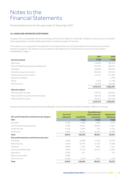Financial Statements for the year ended 31 December 2021

### **10. LOANS AND ADVANCES (CONTINUED)**

Included in ECL is suspended interest amounting to R13,673,657 (2020: R11,595,258). The Bank continues to accrue interest, where appropriate on doubtful debts when there is a realistic prospect of recovery.

This interest is not recognised in the statement of comprehensive income but allocated to the customer's account and interest in suspense. The interest is only recognised in the statement of comprehensive income once recovered or rehabilitated to stage 2.

|                                               | 2021         | 2020         |
|-----------------------------------------------|--------------|--------------|
| <b>Sectorial analysis</b>                     | <b>R'000</b> | <b>R'000</b> |
| Agriculture                                   | 116,004      | 189,185      |
| Financial, Building and property development  | 553,379      | 568,700      |
| Individuals                                   | 329,884      | 399,926      |
| Manufacturing and commerce                    | 496,055      | 533,242      |
| Transport and communication                   | 113,327      | 127,464      |
| <b>Electricity and Water</b>                  |              | 5,790        |
| Mining                                        | 5,532        | 17,798       |
| Other services                                | 62,294       | 216,282      |
|                                               | 1,676,475    | 2,058,387    |
| <b>Maturity analysis</b>                      |              |              |
| Maturing within one year                      | 370,375      | 465,643      |
| Maturing after one year but within five years | 549,529      | 641,008      |
| Maturing after five years                     | 756,571      | 951,736      |
|                                               | 1,676,475    | 2,058,387    |

All loans and advances are granted within the Republic of South Africa and can be denominated in different currencies.

| Non-performing loans and advances by category | As a % of<br><b>Advances</b> | <b>Credit Risk</b> | <b>Securities and</b><br>other expected<br>recoveries | <b>Impairment</b><br>allowance |
|-----------------------------------------------|------------------------------|--------------------|-------------------------------------------------------|--------------------------------|
| 2021                                          |                              | <b>R'000</b>       | <b>R'000</b>                                          | <b>R'000</b>                   |
| Overdraft                                     | 0.53%                        | 8,898              | 2,669                                                 | 6,229                          |
| Commercial and property loans                 | 3.34%                        | 56,021             | 38,400                                                | 17,621                         |
| Instalment sale                               | 0.41%                        | 6.936              | 401                                                   | 6.535                          |
| Home loans                                    | 4.56%                        | 76,391             | 56,545                                                | 19,846                         |
| Total                                         | 8.84%                        | 148,246            | 98,015                                                | 50,231                         |
| Non-performing loans and advances by sector   |                              |                    |                                                       |                                |
| Individuals                                   | 2.50%                        | 41,869             | 31,590                                                | 10,279                         |
| Manufacturing                                 | 3.03%                        | 50,797             | 31,329                                                | 19,468                         |
| Transport                                     | 0.28%                        | 4,736              | 3.099                                                 | 1,637                          |
| <b>Financial and Real Estate</b>              | 2.85%                        | 47,738             | 30,534                                                | 17,204                         |
| Agriculture                                   | 0.03%                        | 527                |                                                       | 527                            |
| Electricity and water                         | $0.00\%$                     |                    |                                                       |                                |
| Other services                                | 0.15%                        | 2,579              | 1,463                                                 | 1,116                          |
| Total                                         | 8.84%                        | 148,246            | 98,015                                                | 50,231                         |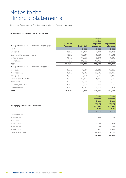Financial Statements for the year ended 31 December 2021

### **10. LOANS AND ADVANCES (CONTINUED)**

|                                               |                 |                    | <b>Securities</b><br>and other |                   |
|-----------------------------------------------|-----------------|--------------------|--------------------------------|-------------------|
|                                               | As a % of       |                    | expected                       | <b>Impairment</b> |
| Non-performing loans and advances by category | <b>Advances</b> | <b>Credit Risk</b> | recoveries                     | allowance         |
| 2020                                          |                 | <b>R'000</b>       | <b>R'000</b>                   | <b>R'000</b>      |
| Overdraft                                     | 2.66%           | 54,717             | 1,994                          | 52,723            |
| Commercial and property loans                 | 3.19%           | 65,647             | 49,504                         | 16,143            |
| Instalment sale                               | 0.54%           | 11,119             | 2,274                          | 8,845             |
| Home loans                                    | 4.40%           | 90,518             | 65,918                         | 24,600            |
| <b>Total</b>                                  | 10.79%          | 222,001            | 119,690                        | 102,311           |
| Non-performing loans and advances by sector   |                 |                    |                                |                   |
| Individuals                                   | 2.27%           | 46,637             | 32,831                         | 13,806            |
| Manufacturing                                 | 2.36%           | 48,545             | 25,546                         | 22,999            |
| Transport                                     | 0.34%           | 7,057              | 4.622                          | 2,435             |
| <b>Financial and Real Estate</b>              | 2.61%           | 53,809             | 40,210                         | 13,599            |
| Agriculture                                   | 2.20%           | 45,363             | 363                            | 45,000            |
| Electricity and water                         | 0.05%           | 1,001              | 966                            | 35                |
| Other services                                | 0.95%           | 19,589             | 15,152                         | 4,437             |
| <b>Total</b>                                  | 10.79%          | 222,001            | 119,690                        | 102,311           |

| Mortgage portfolio - LTV distribution | <b>Credit</b><br>impaired<br>(Gross<br><b>Carrying</b><br>amount)<br>2021<br><b>R'000</b> | <b>Credit</b><br><b>impaired</b><br>(Gross<br><b>Carrying</b><br>amount)<br>2020<br><b>R'000</b> |
|---------------------------------------|-------------------------------------------------------------------------------------------|--------------------------------------------------------------------------------------------------|
| Less than 50%                         |                                                                                           |                                                                                                  |
| 50% to 60%                            | 686                                                                                       | 2,098                                                                                            |
| 60 to 70%                             | $\overline{\phantom{0}}$                                                                  |                                                                                                  |
| 70 % to 80%                           | 4,086                                                                                     | 8,415                                                                                            |
| 80% to 90%                            | 3.198                                                                                     | 4,155                                                                                            |
| 90%to 100%                            | 27,460                                                                                    | 39,837                                                                                           |
| Greater than 100%                     | 40,961                                                                                    | 36,013                                                                                           |
|                                       | 76,391                                                                                    | 90,518                                                                                           |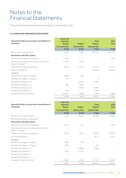Financial Statements for the year ended 31 December 2021

### **10. LOANS AND ADVANCES (CONTINUED)**

| <b>Expected Credit Loss provision: reconciliation of</b><br>movement | <b>Loans and</b><br>advances<br>Stage 1<br>12-month ECL<br><b>R'000</b> | Stage 2<br><b>Lifetime ECL</b><br><b>R'000</b> | <b>Total</b><br>Stage 3<br><b>Lifetime ECL</b><br><b>R'000</b> | 2021<br><b>Total</b><br><b>R'000</b> |
|----------------------------------------------------------------------|-------------------------------------------------------------------------|------------------------------------------------|----------------------------------------------------------------|--------------------------------------|
| Balance as at 1 January 2021                                         | 4.939                                                                   | 7,485                                          | 102,311                                                        | 114,735                              |
| <b>Movements with P&amp;L impact</b>                                 |                                                                         |                                                |                                                                |                                      |
| New loans and advances originated                                    | 1,523                                                                   |                                                |                                                                | 1,523                                |
| New loans and advances originated moved from<br>stage 1 to stage 2   | (1, 166)                                                                | 1.166                                          |                                                                |                                      |
| Settlement of loans and advances                                     | (810)                                                                   | (1,341)                                        | (1,079)                                                        | (3,230)                              |
| Amounts written off                                                  |                                                                         |                                                | (56, 255)                                                      | (56, 255)                            |
| Transfers:                                                           |                                                                         |                                                |                                                                |                                      |
| Transfer from Stage 1 to Stage 2                                     | (588)                                                                   | 588                                            |                                                                |                                      |
| Transfer from Stage 1 to Stage 3                                     | (6)                                                                     |                                                | 6                                                              |                                      |
| Transfer from Stage 2 to 3                                           |                                                                         | (2.934)                                        | 2.934                                                          |                                      |
| Transfer from Stage 2 to 1                                           | 985                                                                     | (985)                                          |                                                                |                                      |
| Transfer from Stage 3 to 2                                           |                                                                         | 4,468                                          | (4, 468)                                                       |                                      |
| Transfer from Stage 3 to 1                                           | 558                                                                     |                                                | (558)                                                          |                                      |
| Changes in PD's/LGD's/EAD                                            | (2.042)                                                                 | (608)                                          | 7.340                                                          | 4,690                                |
|                                                                      | 3.393                                                                   | 7,839                                          | 50,231                                                         | 61,463                               |

| <b>Expected Credit Loss provision: reconciliation of</b><br>movement | <b>Loans</b> and<br>advances<br>Stage 1 | Stage 2             | <b>Total</b><br>Stage 3 | 2020<br><b>Total</b> |
|----------------------------------------------------------------------|-----------------------------------------|---------------------|-------------------------|----------------------|
|                                                                      | 12-month ECL                            | <b>Lifetime ECL</b> | <b>Lifetime ECL</b>     |                      |
|                                                                      | <b>R'000</b>                            | <b>R'000</b>        | <b>R'000</b>            | <b>R'000</b>         |
| Balance as at 1 January 2020                                         | 5.614                                   | 10.442              | 24.786                  | 40.842               |
| IFRS 9 opening balance adjustment                                    |                                         |                     |                         |                      |
| <b>Movements with P&amp;L impact</b>                                 |                                         |                     |                         |                      |
| New loans and advances originated                                    | 1,214                                   | 322                 |                         | 1,536                |
| New loans and advances originated moved from<br>stage 1 to stage 2   |                                         |                     |                         |                      |
| Settlement of loans and advances                                     | (520)                                   | (811)               | (1,887)                 | (3,218)              |
| Amounts written off                                                  |                                         |                     | (812)                   | (812)                |
| Transfers:                                                           |                                         |                     |                         |                      |
| Transfer from Stage 1 to Stage 2                                     | (790)                                   | 790                 |                         |                      |
| Transfer from Stage 1 to Stage 3                                     | (342)                                   |                     | 342                     |                      |
| Transfer from Stage 2 to 3                                           |                                         | (6.085)             | 6,085                   |                      |
| Transfer from Stage 2 to 1                                           | 1.143                                   | (1, 143)            |                         |                      |
| Transfer from Stage 3 to 2                                           |                                         |                     |                         |                      |
| Transfer from Stage 3 to 1                                           |                                         |                     |                         |                      |
| Changes in PD's/LGD's/EAD                                            | (1,380)                                 | 3,970               | 73,797                  | 76,387               |
|                                                                      | 4.939                                   | 7.485               | 102.311                 | 114.735              |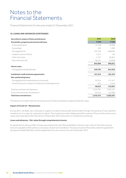Financial Statements for the year ended 31 December 2021

#### **10. LOANS AND ADVANCES (CONTINUED)**

| Securities in respect of loans and advances                  | 2021         | 2020         |
|--------------------------------------------------------------|--------------|--------------|
| Overdrafts, property and commercial loans                    | <b>R'000</b> | <b>R'000</b> |
| - Cash Investments                                           | 15,158       | 18,208       |
| - Guarantees                                                 | 550          | 1,905        |
| - Mortgage Bonds                                             | 762.759      | 848,630      |
| - Ceded Insurance Policies                                   | 2,471        | 149          |
| - Other Securities                                           | 5,727        | 90,801       |
| - Secondary Security                                         | 56,231       | 30,928       |
|                                                              | 842,896      | 990,621      |
| <b>Home Loans</b>                                            |              |              |
| - Mortgage Bonds (Residential)                               | 549,795      | 641,016      |
| Instalment credit and lease agreements                       | 121,554      | 181,223      |
| <b>Non-performing loans:</b>                                 |              |              |
| - Mortgage Bonds (residential and commercial)                | 97.614       | 117,417      |
| - 'Assets Financed in respect of Instalment Credit Agreement | 401          | 2,274        |
|                                                              | 98,015       | 119,691      |
| Total secured loans and advances                             | 1,612,261    | 1,932,551    |
| Total unsecured loans and advances                           | 64,214       | 125,836      |
| <b>Total loans and advances</b>                              | 1,676,475    | 2,058,387    |

The directors consider that the carrying amount of loans and advances approximates fair value.

#### **Impact of Covid 19 – Moratoriums**

During 2021, the Bank has continued to support its clients and provide financial relief through the granting of loan payment moratoriums on a case-by-case basis to clients. The moratoriums were initially granted for a period of four months and in some cases were extended further. By the end of December 2021 there were no moratoriums remaining.

#### **Loans and advances - Fair value through comprehensive income**

An agreement to sell a portfolio of loans was entered into with Mercantile Bank in the prior year. A fee of 1% of the carrying amount is payable to Mercantile on conclusion of each loan transfered. The amount sold to Mercantile under the agreement was approximately R40million and the agreement has now came to an end in December 2021.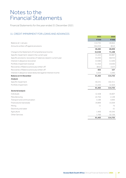Financial Statements for the year ended 31 December 2021

## 11. CREDIT IMPAIRMENT FOR LOANS AND ADVANCES

|                                                                    | 2021         | 2020         |
|--------------------------------------------------------------------|--------------|--------------|
|                                                                    | <b>R'000</b> | <b>R'000</b> |
| Balance at 1 January                                               | 114,735      | 40.842       |
| Amounts written off against provisions                             | (56, 253)    | (812)        |
|                                                                    | 58,482       | 40,030       |
| Charge to the Statement of Comprehensive Income                    | (3,510)      | 71,108       |
| Specific impairment: raised in the current year                    | 11,222       | 84,887       |
| Specific provisions: recoveries of balances raised in current year | (9,200)      | (8,672)      |
| Interest in abeyance recovered                                     | (3,508)      | (1,320)      |
| Portfolio impairment reversal                                      | (1, 192)     | (3,630)      |
| Recoveries of Balance previously written off.                      | (832)        | (157)        |
| Recoveries of Balance previously written off                       | 832          | 157          |
| Interest in abeyance raised deducted against interest income       | 5,659        | 3,440        |
| <b>Balance at 31 December</b>                                      | 61,463       | 114,735      |
| <b>Analysis</b>                                                    |              |              |
| Specific impairment                                                | 50.231       | 102.311      |
| Portfolio impairment                                               | 11.232       | 12,424       |
|                                                                    | 61,463       | 114,735      |
| <b>Sectorial analysis</b>                                          |              |              |
| Individuals                                                        | 12.428       | 16.607       |
| Manufacturing                                                      | 22.764       | 2.149        |
| Transport and communication                                        | 3.189        | 3.093        |
| Financial and real estate                                          | 19,899       | 15,059       |
| Mining                                                             | 11           | 75           |
| Electricity and water                                              |              | 51           |
| Agriculture                                                        | 1,406        | 45,545       |
| <b>Other Services</b>                                              | 1,766        | 32,156       |
|                                                                    | 61,463       | 114,735      |
|                                                                    |              |              |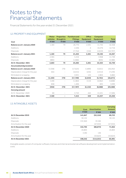Financial Statements for the year ended 31 December 2021

### 12. PROPERTY AND EQUIPMENT

|                                     | <b>Motor</b><br>vehicles | <b>Properties</b><br><b>Brought in</b> | <b>Furniture and</b><br><b>Fittings</b> | <b>Office</b><br><b>Equipment</b> | <b>Computer</b><br><b>Equipment</b> | <b>Total</b> |
|-------------------------------------|--------------------------|----------------------------------------|-----------------------------------------|-----------------------------------|-------------------------------------|--------------|
| Cost                                | <b>R'000</b>             | <b>R'000</b>                           | <b>R'000</b>                            | <b>R'000</b>                      | <b>R'000</b>                        | <b>R'000</b> |
| <b>Balance as at 1 January 2020</b> | 1.183                    | 79                                     | 26.770                                  | 2.591                             | 11.735                              | 42,358       |
| Additions                           |                          | $\overline{\phantom{a}}$               | 2,436                                   | 4                                 | 10,276                              | 12,716       |
| <b>Disposals</b>                    | $\overline{a}$           | $\overline{\phantom{a}}$               | (7.754)                                 | (134)                             | (2,819)                             | (10, 707)    |
| <b>Balance as at 1 January 2021</b> | 1,183                    | 79                                     | 21,452                                  | 2,461                             | 19,192                              | 44,367       |
| Additions                           | 2,365                    | $\qquad \qquad -$                      | 5,416                                   |                                   | 3.968                               | 11,749       |
| <b>Disposals</b>                    | (885)                    | $\overline{\phantom{a}}$               | (1,666)                                 |                                   | (835)                               | (3,386)      |
| At 31 December 2021                 | 2,663                    | 79                                     | 25,202                                  | 2,461                             | 22,325                              | 52,730       |
| <b>Accumulated depreciation</b>     |                          |                                        |                                         |                                   |                                     |              |
| <b>Balance as at 1 January 2020</b> | (1,038)                  | (79)                                   | (17, 625)                               | (1.899)                           | (5,651)                             | (26, 292)    |
| Depreciation charge for the year    | (65)                     |                                        | (4.015)                                 | (245)                             | (2,914)                             | (7, 239)     |
| Eliminated on scrapping             |                          |                                        | 3.931                                   | 125                               | 2,804                               | 6,860        |
| <b>Balance as at 1 January 2021</b> | (1, 103)                 | (79)                                   | (17, 709)                               | (2,019)                           | (5,761)                             | (26, 671)    |
| Depreciation charge for the year    | (149)                    | $\overline{a}$                         | (1,484)                                 | (113)                             | (4,062)                             | (5,808)      |
| Eliminated on scrapping             | 858                      | $\overline{a}$                         | 1.406                                   |                                   | 835                                 | 3,099        |
| At 31 December 2021                 | (394)                    | (79)                                   | (17, 787)                               | (2, 132)                          | (8,988)                             | (29, 380)    |
| <b>Carrying amount</b>              |                          |                                        |                                         |                                   |                                     |              |
| At 31 December 2020                 | 80                       |                                        | 3.743                                   | 442                               | 13,431                              | 17,696       |
| At 31 December 2021                 | 2 2 6 9                  | -                                      | 7,415                                   | 329                               | 13,337                              | 23,350       |

## 13. INTANGIBLE ASSETS

|                           |              |                     | <b>Carrying</b> |
|---------------------------|--------------|---------------------|-----------------|
|                           | Cost         | <b>Amortisation</b> | <b>Amount</b>   |
|                           | <b>R'000</b> | <b>R'000</b>        | <b>R'000</b>    |
| At 31 December 2019       | 141,847      | (52, 124)           | 89,723          |
| Additions                 | 30,132       |                     | 30,132          |
| <b>Disposals</b>          | (19, 184)    | 19,184              |                 |
| Amortisation for the year |              | (47, 933)           | (47, 933)       |
| At 31 December 2020       | 152,795      | (80, 873)           | 71,922          |
| Additions                 | 45,893       |                     | 45,893          |
| <b>Disposals</b>          | (146)        | 146                 |                 |
| Amortisation for the year |              | (33.824)            | (33,824)        |
| At 31 December 2021       | 198,542      | (114, 551)          | 83,991          |

Intangible assets consist of computer software, licenses and internal and external software development and implementation costs.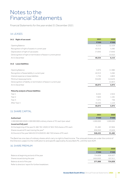Financial Statements for the year ended 31 December 2021

## 14. LEASES

| 14.1 Right of use asset                                                                                   | 2021         | 2020         |
|-----------------------------------------------------------------------------------------------------------|--------------|--------------|
|                                                                                                           | <b>R'000</b> | <b>R'000</b> |
| Opening Balance                                                                                           | 6,115        | 12,329       |
| Recognition of right of assets in current year                                                            | 42,013       | 5.282        |
| Depreciation of right of use assets                                                                       | (7.594)      | (7,944)      |
| Derecognition of right on termination of lease in current period                                          |              | (3, 552)     |
| At 31 December                                                                                            | 40,534       | 6,115        |
| 14.2 Lease liabilities                                                                                    |              |              |
| Opening Balance                                                                                           | 5,975        | 11,980       |
| Recognition of lease liability in current year                                                            | 42,013       | 5,282        |
| Interest expense on lease liabilities                                                                     | 1,734        | 4,803        |
| Minimum lease payments                                                                                    | (9,649)      | (12, 623)    |
| Derecognition of liability on termination of lease in current year                                        |              | (3, 467)     |
| At 31 December                                                                                            | 40,073       | 5,975        |
| Maturity analysis of lease liabilities                                                                    |              |              |
| Year 1                                                                                                    | 8,432        | 2,924        |
| Year 2                                                                                                    | 7,820        | 1,181        |
| Year 3                                                                                                    | 7,271        | 746          |
| After Year 3                                                                                              | 16,550       | 1,124        |
|                                                                                                           | 40,073       | 5,975        |
| <b>15. SHARE CAPITAL</b>                                                                                  |              |              |
|                                                                                                           | 2021         | 2020         |
| <b>Authorised</b>                                                                                         | <b>R'000</b> | <b>R'000</b> |
| 1 000 000 000 (2020:1 000 000 000) ordinary shares of R1 each (par value)<br><b>Issued and fully paid</b> | 1,000,000    | 1,000,000    |

At the beginning of the year 91 482 763 (2020: 67 855 763) shares of R1 each 91,482 91,482 67,856 Shares issued at R1 each during the year\* 856,950 compared at R1 each during the year\* At the end of the year 948 432 074 (2020:91 482 763) shares of R1 each **948,432** 91,482

The Bank has one class of ordinary shares which carry no right to fixed income. The unissued shares are under the control of the Directors subject to the notification to and specific approval by Access Bank Plc, until the next AGM.

### 16. SHARE PREMIUM

|                                                   | 2021         | 2020         |
|---------------------------------------------------|--------------|--------------|
|                                                   | <b>R'000</b> | <b>R'000</b> |
| Balance at beginning and end of the year          | 734.838      | 626.927      |
| Shares issued during the year                     | (456.950)    | 107,911      |
| Balance at end of the year                        | 277.888      | 734,838      |
| Refer to directors' report for further breakdown. |              |              |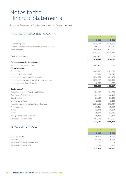Financial Statements for the year ended 31 December 2021

## 17. DEPOSITS AND CURRENT ACCOUNTS

|                                                      | 2021         | 2020         |
|------------------------------------------------------|--------------|--------------|
|                                                      | <b>R'000</b> | <b>R'000</b> |
| Demand deposits                                      | 1,075,137    | 1,248,092    |
| Customer foreign currency deposits (demand deposits) | 160,556      | 293,075      |
| Term deposits                                        | 855,467      | 873,319      |
|                                                      | 2,091,160    | 2,414,486    |
| Deposits from banks                                  | 1,641,480    | 35,731       |
|                                                      | 3,732,640    | 2,450,217    |
| Included in deposits from banks are:                 |              |              |
| Amounts due to other banks                           | 1,641,480    | 35,731       |
| <b>Maturity analysis</b>                             |              |              |
| On demand                                            | 1,281,598    | 1,581,899    |
| Maturing within one month                            | 39,591       | 34,245       |
| Maturing after one but within six months             | 1,276,034    | 485,974      |
| Maturing after six months but within twelve months   | 1,093,187    | 303,391      |
| Maturing greater than 12 months                      | 42,230       | 44,708       |
|                                                      | 3,732,640    | 2,450,217    |
| <b>Sector analysis</b>                               |              |              |
| Agriculture, Hunting, Forestry and Fishing           | 124.152      | 184.706      |
| Community, Social and Personal                       | 529,710      | 560,499      |
| Construction                                         | 21.122       | 26.499       |
| Electricity and Water                                | 2,580        | 2,499        |
| Financial, Insurance, Real estate and Business       | 2,351,125    | 962,937      |
| Manufacturing                                        | 18.425       | 19,904       |
| Mining                                               | 12,273       | 16,254       |
| Other                                                | 39,377       | 51,032       |
| Transport and communication                          | 70,733       | 111,727      |
| Wholesale and Retail trade                           | 563,143      | 514,160      |
|                                                      | 3,732,640    | 2,450,217    |

### 18.ACCOUNTS PAYABLE

|                                    | <b>R'000</b> | <b>R'000</b>             |
|------------------------------------|--------------|--------------------------|
| Sundry creditors                   | 28,811       | 30,128                   |
| Accruals                           | 103.655      | 70.237                   |
| Receiver of Revenue - Payroll cost | 3.625        | $\overline{\phantom{0}}$ |
| Receiver of Revenue - VAT          | 1.288        | 307                      |
|                                    | 137,379      | 100,672                  |

**2021 2020**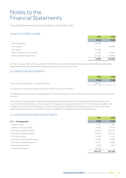Financial Statements for the year ended 31 December 2021

### 19. INSTITUTIONAL LOANS

|                                   | 2021              | 2020         |
|-----------------------------------|-------------------|--------------|
|                                   | <b>R'000</b>      | <b>R'000</b> |
| Openning balance                  | 150,000           |              |
| Loan received                     | $\qquad \qquad -$ | 150,000      |
| Loan repaid                       | (75,000)          |              |
| Interest expense for current year | 11,158            | 14,080       |
| Interest settled during the year  | (11, 158)         | (14,080)     |
|                                   | 75,000            | 150,000      |

On the 31 January 2020, a three year loan of R150 million at 3 month jibar plus 5.5% was received from Norsad with capital repayments from the 2nd year. Interest payable quarterly. This loan is unsecured.

### 20.DEBENTURE INSTRUMENTS

| 2020         | 2021         |  |
|--------------|--------------|--|
| <b>R'000</b> | <b>R'000</b> |  |
| $\sim$       | 183.161      |  |

Comprises of 3 unsecured debentures issued in 2021 in favour of 3 investors.

The debentures bear interest at the aggregate of 12month Jibar plus a margin of 2% per annum with a maturity of 5years and 3months.

The capital amount is payable on maturity. The debentures at the sole discretion of the Prudential Authority (PA) can be converted into ordinary shares on the occurance of a trigger event as determined by the PA. The debentures qualify as Tier 2 capital in terms of the Bank Regulations. The future discounted cashflows are disclosed in note 24. In 2023 Jibar will be replaced with another base rate and this has been considered in the legal documents of the debentures.

### 21. CONTINGENCIES AND COMMITMENTS

|                                     | 2021         | 2020         |
|-------------------------------------|--------------|--------------|
| 21.1 Contingencies                  | <b>R'000</b> | <b>R'000</b> |
| Letters of credit                   | 7.897        | 1.905        |
| Liabilities under quarantees        | 36.706       | 53.029       |
| Revocable unutilised facilities     | 127.904      | 169.797      |
| Irrevocable unutilised facilities   | 82.612       | 140.199      |
| <b>EFT Debit services</b>           | 2.200        | 2.200        |
| Legal claim instituted by borrowers | 92.630       | 45.000       |
| Committed capital expenditure       | 14.325       | 4,268        |
| Deferred Sanction fine              | 5.000        | 5,000        |
| Centurion lease option              | 35,500       |              |
|                                     | 404,774      | 421,398      |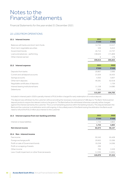Financial Statements for the year ended 31 December 2021

## 22. LOSS FROM OPERATIONS

### **22.1 Interest income 2021 2020 R'000 R'000** Balances with banks and short-term funds 14,745 13,517 Short-term negotiable securities 526 6,412 Government bonds 13,737 and 13,737 and 13,737 and 13,737 and 13,737 and 13,737 and 13,737 and 13,737 and 13,737 and 13,737 and 13,737 and 13,737 and 13,737 and 13,737 and 13,737 and 13,737 and 13,737 and 13,737 and 13,737 Loans and advances - performing 138,625 171,809 Other interest earned 6 178  **199,614 205,653 22.2 Interest expense 2021 2020 R'000 R'000** Deposits from banks 20,867 3,996 Current and call deposit accounts 21,634 16,433 Savings accounts 6,837 5,837 5,837 5,837 5,837 5,837 5,837 5,837 5,837 5,837 5,837 5,837 5,837 5,837 5,837 5,837 5,837 5,837 5,837 5,837 5,837 5,837 5,837 5,837 5,837 5,837 5,837 5,837 5,837 5,837 5,837 5,837 5,837 5,837 5 Other term deposits 62,618 Negotiable certificates of deposits and the set of the set of deposits and the set of deposits of the set of deposits of the set of the set of deposits of deposits of the set of the set of deposits of deposits of the set o Interest bearing institutional loans 11,158 14,080 Debentures 7,904 -  **115,207 104,703**

Included in interest paid in 2020 is penalty interest of R16,5million charged for early redemption of a notice deposit.

The deposit was withdrawn by the customer without providing the necessary notice period of 188 days to The Bank. Notice period deposit products require the relevant notice to be given to The Bank before the withdrawal otherwise a penalty will be charged against the interest earned by the customer. This is a normal banking practice within the banking industry. This dispute between the Bank and the customer is at arbitration and is still ongoing. In the unlikely event of the Bank lossing the arbitration the Bank would need to refund the R16,5 million plus interest to the customer.

| 22.3 Interest expense from non-banking activities  | 2021         | 2020         |
|----------------------------------------------------|--------------|--------------|
|                                                    | <b>R'000</b> | <b>R'000</b> |
| Interest on lease liabilities                      | 1.734        | 4,803        |
|                                                    | 1,734        | 4,803        |
| Net interest income                                | 82,673       | 96,147       |
| 22.4 Non - interest income                         |              |              |
|                                                    |              |              |
| Fee income                                         | 95.545       | 65,428       |
| Foreign exchange profit                            | 20.602       | 15,596       |
| Profit on sale of Government bonds                 | 10,258       | 14,596       |
| Profit on scrapping of assets                      | 299          |              |
| Other income                                       | 705          | 3.329        |
| Less: Credit impairment on other financial assests | (1,339)      | (1,695)      |
|                                                    | 126,070      | 97,254       |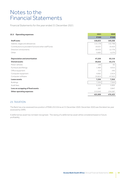### Financial Statements for the year ended 31 December 2021

| 22.5 Operating expenses                               | 2021         | 2020         |
|-------------------------------------------------------|--------------|--------------|
|                                                       | <b>R'000</b> | <b>R'000</b> |
| <b>Staff costs</b>                                    | 158,833      | 169,268      |
| Salaries, wages and allowances                        | 115,178      | 132,798      |
| Contributions to provident fund and other staff funds | 19,037       | 19,424       |
| Directors' emoluments                                 | 18,935       | 12,776       |
| Other                                                 | 5,683        | 4,270        |
|                                                       |              |              |
| <b>Depreciation and amortisation</b>                  | 47,226       | 63,116       |
| <b>Owned assets</b>                                   | 39,632       | 55,172       |
| Motor vehicles                                        | 149          | 65           |
| Furniture and fittings                                | 1,484        | 4,015        |
| Office equipment                                      | 113          | 245          |
| Computer equipment                                    | 4,062        | 2,914        |
| Computer software                                     | 33,824       | 47,933       |
| Lease assets                                          | 7,594        | 7,944        |
| <b>Buildings</b>                                      | 7,594        | 7,944        |
| Audit fees                                            | 6,520        | 5,905        |
| Loss on scrapping of fixed assets                     | 287          | 3,847        |
| <b>Other operating expenses</b>                       | 213,043      | 234,287      |
|                                                       | 425,909      | 476,423      |

### 23.TAXATION

The Bank has a tax assessed loss position of R585,253,554 as at 31 December 2020. December 2020 was the latest tax year assessed by SARS.

A deferred tax asset has not been recognised. The raising of a deferred tax asset will be considered based on future profitability.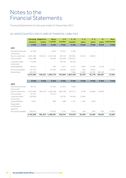Financial Statements for the year ended 31 December 2021

## 24.UNDISCOUNTED CASH FLOWS OF FINANCIAL LIABILITIES

|                                    | <b>Amount</b> | <b>Carrying Subject to</b><br>notice | Up to<br>1 month         | $1 - 3$<br>months | $3 - 12$<br>months | $1 - 2$<br>years | $2 - 5$<br><b>vears</b> | $5+$<br>years            | Non-<br>contractual |
|------------------------------------|---------------|--------------------------------------|--------------------------|-------------------|--------------------|------------------|-------------------------|--------------------------|---------------------|
|                                    | <b>R'000</b>  | <b>R'000</b>                         | <b>R'000</b>             | <b>R'000</b>      | <b>R'000</b>       | <b>R'000</b>     | <b>R'000</b>            | <b>R'000</b>             | <b>R'000</b>        |
| 2021                               |               |                                      |                          |                   |                    |                  |                         |                          |                     |
| Derivative financial<br>instrument | 41.528        | $\overline{\phantom{0}}$             | 1.663                    | 37.415            | 2,450              |                  |                         |                          |                     |
| Due to customers                   | 2.091.160     | 329.321                              | 1.262.198                | 89.720            | 367.691            | 22.210           | 20.020                  |                          |                     |
| Due to banks                       | 1,641,480     | -                                    | 45,900                   | 159,558           | 1,436,022          |                  |                         |                          |                     |
| Long term debt<br>instrument       | 75,000        |                                      | $\overline{\phantom{0}}$ | 18.750            | 56.250             |                  |                         |                          |                     |
| Lease liabilities                  | 40.073        |                                      | 749                      | 1,512             | 6.171              | 7,820            | 17.503                  | 6.318                    |                     |
| Accounts payable                   | 137.379       | $\overline{\phantom{a}}$             | 52,266                   | 34,049            | 14.951             | 620              | 8.462                   | $\overline{\phantom{a}}$ | 27,031              |
| Debentures                         | 245,765       |                                      |                          |                   | 7.903              | 11.920           | 35.793                  | 190.149                  |                     |
|                                    | 4,272,385     | 329,321                              | 1,362,776                | 341,004           | 1,891,438          | 42,570           | 81,778                  | 196,467                  | 27,031              |

|                                          | <b>R'000</b> | <b>R'000</b>             | <b>R'000</b>      | <b>R'000</b> | <b>R'000</b> | <b>R'000</b> | <b>R'000</b> | <b>R'000</b>             | <b>R'000</b> |
|------------------------------------------|--------------|--------------------------|-------------------|--------------|--------------|--------------|--------------|--------------------------|--------------|
| 2020                                     |              |                          |                   |              |              |              |              |                          |              |
| Derivative financial<br>instrument       | 56.722       | $\overline{\phantom{0}}$ | 27,355            | 21,523       | 7.844        |              |              |                          |              |
| Due to customers                         | 2.414.486    | 281.224                  | 1.299.189         | 382,148      | 407,217      | 4,708        | 20,000       | 20,000                   |              |
| Due to banks                             | 35.731       | $\overline{\phantom{0}}$ | 35.731            |              |              |              |              |                          |              |
| Long term debt<br>instrument             | 150,000      |                          | $\qquad \qquad -$ | 18,750       | 56,250       | 75,000       |              |                          |              |
| Lease liabilities                        | 5.975        | $\overline{\phantom{0}}$ | 489               | 698          | 1.737        | 1,181        | 1,870        | $\overline{\phantom{0}}$ |              |
| Negotiable<br>certificate of<br>deposits |              |                          |                   |              |              |              |              |                          |              |
| Accounts payable                         | 100.672      | $-$                      | 35.623            | 7.125        | 3.622        | 149          | 633          | 633                      | 52,887       |
|                                          | 2,763,586    | 281,224                  | 1,398,387         | 430,244      | 476,670      | 81,038       | 22,503       | 20,633                   | 52,887       |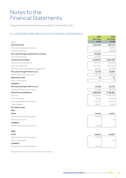Financial Statements for the year ended 31 December 2021

## 25.CATEGORIES AND FAIR VALUES OF FINANCIAL INSTRUMENTS

|                                           | 2021                              | 2020                              |
|-------------------------------------------|-----------------------------------|-----------------------------------|
|                                           | <b>Fair Value</b><br><b>R'000</b> | <b>Fair Value</b><br><b>R'000</b> |
| Asset                                     |                                   |                                   |
| <b>Amortised cost</b>                     | 1,615,949                         | 209,119                           |
| Short term negotiable securities          |                                   | 60,051                            |
| Government Bonds                          | 1,615,949                         | 149,068                           |
| Fair value through comprehensive income   | 135,062                           |                                   |
| Government Bonds                          | 135,062                           |                                   |
| <b>Loans and receivables</b>              | 2,618,872                         | 2,591,249                         |
| Cash and cash equivalents                 | 923,017                           | 618,568                           |
| Loans and advances                        | 1,615,012                         | 1,943,652                         |
| Other Accounts receivable and prepayments | 80,843                            | 29,029                            |
| Fair value through Profit or Loss         | 54,734                            | 52,644                            |
| Derivative financial instrument           | 54,734                            | 52,644                            |
| <b>Held at fair value</b>                 | 15                                | 15                                |
| Other investments                         | 15                                | 15                                |
| <b>Liabilities</b>                        |                                   |                                   |
| Fair value through Profit or Loss         | 41,528                            | 56,722                            |
| Derivative financial instruments          | 41,528                            | 56,722                            |
| <b>Other financial liabilities</b>        | 3,985,092                         | 2,706,864                         |
| Deposits                                  | 3,732,640                         | 2,450,217                         |
| Institutional loan                        | 75,000                            | 150,000                           |
| Accounts payable and Provisions           | 137,379                           | 100,672                           |
| Lease liabilities                         | 40,073                            | 5,975                             |
| <b>Fair Value Levels</b>                  |                                   |                                   |
| 2021                                      |                                   |                                   |
| Asset                                     | Level <sub>2</sub>                | Level 3                           |
| Derivative Financial Instrument           | 54,734                            |                                   |
| Other investments                         |                                   | 15                                |
| <b>Liabilities</b>                        |                                   |                                   |
| Derivative Financial Instruments          | 41,528                            |                                   |
| 2020                                      |                                   |                                   |
| Asset                                     | Level <sub>2</sub>                | Level 3                           |

| Asset                            | Level Z | Level 5 |
|----------------------------------|---------|---------|
| Derivative Financial Instrument  | 52.644  |         |
| Other investments                |         |         |
| <b>Liabilities</b>               |         |         |
| Derivative Financial Instruments | 56.722  |         |

The bank does not have Level 1 financial instruments.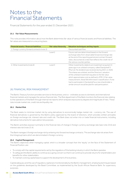Financial Statements for the year ended 31 December 2021

#### **25.1 Fair Value Measurements**

This note provides information about how the Bank determines fair value of various financial assets and financial liabilities. The fair values are measured on a recurring basis.

| <b>Financial assets / financial liabilities</b> | <b>Fair value hierarchy</b> | <b>Valuation techniques and key inputs</b>                                                                                                                                                                                                                                                                                                                                                                                                                                                                                                  |
|-------------------------------------------------|-----------------------------|---------------------------------------------------------------------------------------------------------------------------------------------------------------------------------------------------------------------------------------------------------------------------------------------------------------------------------------------------------------------------------------------------------------------------------------------------------------------------------------------------------------------------------------------|
| 1. Foreign currency forward contracts (note 3)  |                             | Discounted cash flow.                                                                                                                                                                                                                                                                                                                                                                                                                                                                                                                       |
|                                                 | Level 2                     | Future cash are determined based on the forward<br>exchange rates from observable forward exchange rate<br>at the end of the reporting period and contract forward<br>rates, discounted at a rate that reflects the credit risk of<br>the various counter parties.                                                                                                                                                                                                                                                                          |
| 2. Other investments (note 6)                   | _evel 3                     | Other investments relate to an investment acquired 15<br>years ago in an unlisted company, called Dandyshelf 3<br>(Pty) Ltd. No dividend was received during 2021 or 2020.<br>The shares are unlisted, and the Directors' valuation<br>of the unlisted investment equates to the fair value<br>which approximates cost as defined in IFRS 13 fair value<br>measurement, these fall within level 3 classification. If one<br>had to participate in Dandyshelf as a new shareholder a<br>similar amount would be paid for said participation. |

### 26. FINANCIAL RISK MANAGEMENT

The Bank's Treasury function provides services to the business, and co - ordinates access to domestic and international financial markets and manages the various financial risks. The Risk department of the Bank monitors the financial risks relating to the operations of the Bank through internal risk reports which analyses exposures by degree and magnitude of risks. These risks include market risk, credit risk and liquidity risk.

#### **26.1 Market Risk**

The Bank seeks to minimise market risk by using derivatives to economically hedge market risk - currency risk. The use of financial derivatives is governed by the Bank's policy approved by the board of directors, which provides written principles on foreign exchange risk, interest rate and credit risk. The Bank does not enter into or trade financial instruments, including derivative instruments for speculative risk purposes.

The Bank's activities expose it primarily to the financial risks of change in foreign currency exchange rate (see note 23.6) and interest rate risk (note 23.4).

The Bank manages it foreign exchange risk by entering into forward exchange contracts. This exchange rate risk arises from the intragroup loans which are denominated in foreign currency.

#### **26.2 Capital Management**

The Bank's objectives when managing capital, which is a broader concept than the 'equity' on the face of the Statement of Financial Position, are:

- To comply with the capital requirements set by the regulators of the banking industry in which the Bank operates
- To safeguard the Bank's ability to continue as a going concern so that it can continue to provide returns for shareholders and benefits for other stakeholders
- To maintain a strong capital base to support the development of its business.

Capital adequacy and the use of regulatory capital are monitored daily by the Bank's management, employing techniques based on the guidelines developed by the Basel Committee, as implemented by the South African Reserve Bank, for supervisory purposes.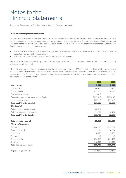Financial Statements for the year ended 31 December 2021

#### **26.2 Capital Management (continued)**

The required information is filed with the South African Reserve Bank on a monthly basis. The Bank maintains a ratio of total regulatory capital to its risk-weighted assets above a minimum level agreed with the South African Reserve Bank which takes into account the risk profile of the Bank. The regulatory capital requirements are strictly observed when managing capital. The Bank's regulatory capital comprises two tiers:

- Tier 1 capital: share capital, share premium, general bank reserve and statutory reserves. The book value of goodwill is deducted in arriving at Tier 1 capital; and
- Tier 2 capital: 5 year debentures and collective impairment allowances.

Shortfalls of value adjustments and provisions as compared to expected losses are deducted from Tier 1 and Tier 2 capital to calculate regulatory capital.

"The risk-weighted assets are measured using the 'standardised approach' (SA) for credit risk. Risk weights are assigned to assets and off balance sheet items according to their asset class and credit assessment. For the determination of credit assessments, the Fitch rating agency is nominated. Any eligible collateral and netting agreements are taken into account for calculating risk-weighted assets"

|                                              | 2021         | 2020         |
|----------------------------------------------|--------------|--------------|
| <b>Tier 1 capital</b>                        | <b>R'000</b> | <b>R'000</b> |
| Share capital                                | 948,432      | 91.482       |
| Share premium                                | 277,888      | 734,839      |
| Revaluation reserves                         | (649)        |              |
| Deductions against capital and reserve funds | (872, 129)   | (665, 818)   |
| Less: intangible assets                      | (83,991)     | (71, 923)    |
| <b>Total qualifying tier 1 capital</b>       | 269,551      | 88,580       |
| <b>Tier 2 capital</b>                        |              |              |
| Debenture instruments issued                 | 146,529      |              |
| Collective impairment allowance              | 11.233       | 12,424       |
| <b>Total qualifying tier 2 capital</b>       | 157,762      | 12,424       |
|                                              |              |              |
| <b>Total regulatory capital</b>              | 427,313      | 101,004      |
| <b>Risk-weighted assets:</b>                 |              |              |
| Credit risk                                  | 1,604,217    | 1,732,821    |
| Counter party risk                           | 151,237      | 78,284       |
| Market risk                                  | 18,537       | 3.373        |
| Equity risk                                  | 15           | 15           |
| Operational risk                             | 276,017      | 254,483      |
| Other risk                                   | 148,698      | 51,896       |
| <b>Total risk-weighted assets</b>            | 2,198,721    | 2,120,872    |
| Capital adequacy ratio                       | 19.43%       | 4.76%        |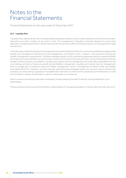Financial Statements for the year ended 31 December 2021

#### **26.3 Liquidity Risk**

"Liquidity risk is defined as the risk of not being able to generate sufficient cash to meet the Bank's commitment to lenders, depositors and other creditors at any point in time. The management of liquidity is primarily designed to ensure that depositors' funding requirements can be met and that the bank has sufficient funding in place to ensure payment of daily transactions."

"Ultimate responsibility for liquidity risk management rests with the Board of Directors, which has established an appropriate liquidity risk management framework for the management of the Bank's short-, medium- and long-term funding and liquidity management requirements. The Bank manages liquidity risk by maintaining adequate reserves, banking facilities and reserve borrowing facilities, by continuously monitoring forecast and actual cash flows, and by matching the maturity profiles of financial assets and liabilities. Liquidity and interest rate risk management are essentially inseparable from the core banking activities of advances growth and profitability management. Liquidity and interest rate risk management form an integral part of proactive asset and liability management, which is managed by the Bank's Asset and Liability Committee (ALCCO). Liquidity is ensured through optimal funding strategies taking into account various interest rate scenarios, as well as taking cognisance of available inter-bank lines of credit and the substantial committed lines of credit from the Bank's majority shareholder to cater for unforeseen circumstances."

Stress scenarios and testing have been undertaken thereby allowing the bank to identify and be prepared for such eventualities.

These scenarios have ensured that the Bank is well prepared to manage any liquidity or interest rate risks that may occur.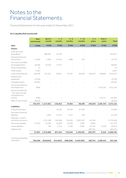Financial Statements for the year ended 31 December 2021

#### **26.3 Liquidity Risk (continued)**

|                                                           | Non-<br>contractual | Up to 1<br>month | $1 - 3$<br>months | $3 - 6$<br>months | $7 - 12$<br>months | $1 - 5$<br>years | Over <sub>5</sub><br>years | <b>Total</b> |
|-----------------------------------------------------------|---------------------|------------------|-------------------|-------------------|--------------------|------------------|----------------------------|--------------|
| 2021                                                      | <b>R'000</b>        | <b>R'000</b>     | <b>R'000</b>      | <b>R'000</b>      | <b>R'000</b>       | <b>R'000</b>     | <b>R'000</b>               | <b>R'000</b> |
| <b>Assets</b>                                             |                     |                  |                   |                   |                    |                  |                            |              |
| Cash and cash<br>equivalents<br>Derivative financial      |                     | 890,287          | 32,730            |                   |                    |                  |                            | 923,017      |
| instruments<br>Accounts receivable                        | (1,200)             | 1,669            | 52,234            | 1,888             | 143                |                  |                            | 54.734       |
| and prepayments                                           | 36,282              | 33,544           | 11,017            |                   |                    |                  |                            | 80,843       |
| Other investments                                         | 15                  |                  |                   |                   |                    |                  |                            | 15           |
| Other assets                                              | 2,401               |                  |                   |                   |                    |                  |                            | 2,401        |
| Loans and Advances<br>Property and                        | 148,246             | 191,521          | 46,631            | 45,767            | 86,456             | 549,529          | 546,862                    | 1,615,012    |
| equipment                                                 | 23,350              |                  |                   |                   |                    |                  |                            | 23,350       |
| Intangible assets                                         | 83,991              |                  |                   |                   |                    |                  |                            | 83,991       |
| Government Bonds -<br>Amortised cost                      | (999)               |                  |                   |                   |                    |                  | 1,613,161                  | 1,612,162    |
| Government Bonds<br>- Fair value through<br>comprehensive |                     |                  |                   |                   |                    |                  |                            |              |
| income                                                    | (649)               |                  |                   |                   |                    |                  | 135,711                    | 135,062      |
| Right of use of asset                                     | 40,534              |                  |                   |                   |                    |                  |                            | 40,534       |
|                                                           | 331,971             | 1,117,021        | 142,612           | 47,655            | 86,599             | 549,529          | 2,295,734                  | 4,571,121    |
| <b>Liabilities</b>                                        |                     |                  |                   |                   |                    |                  |                            |              |
| Institutional loans<br>Derivative financial               |                     |                  | 18,750            | 18,750            | 37,500             |                  |                            | 75,000       |
| liabilities                                               |                     | 1.663            | 37,415            | 2,312             | 138                |                  |                            | 41,528       |
| Deposits, current<br>and other accounts                   | $\overline{a}$      | 1,321,189        | 565,508           | 710,526           | 1,093,187          | 42.230           | $\overline{a}$             | 3,732,640    |
| Accounts payable                                          | 27,031              | 52,265           | 34,049            | 10,166            | 4,785              | 9.083            |                            | 137,379      |
| Lease liabilities                                         |                     | 749              | 1,512             | 2,190             | 3.981              | 25,323           | 6.318                      | 40,073       |
| Debentures                                                |                     |                  |                   |                   |                    | 183,161          | $\qquad \qquad -$          | 183,161      |
|                                                           | 27,031              | 1,375,866        | 657,234           | 743,944           | 1,139,591          | 259,797          | 6,318                      | 4,209,781    |
| Contractual liquidity<br>mismatch                         | 304,940             | (258, 845)       | (514, 622)        | (696, 289)        | (1,052,992)        | 289,732          | 2,289,416                  | 361,340      |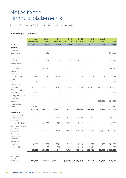Financial Statements for the year ended 31 December 2021

### **26.3 Liquidity Risk (continued)**

|                                                     | Non-<br>contractual | Up to 1<br>month | $1 - 3$<br>months | $3 - 6$<br>months | $7 - 12$<br>months | $1 - 5$<br>years         | Over <sub>5</sub><br>years | <b>Total</b> |
|-----------------------------------------------------|---------------------|------------------|-------------------|-------------------|--------------------|--------------------------|----------------------------|--------------|
| 2020                                                | <b>R'000</b>        | <b>R'000</b>     | <b>R'000</b>      | <b>R'000</b>      | <b>R'000</b>       | <b>R'000</b>             | <b>R'000</b>               | <b>R'000</b> |
| <b>Assets</b>                                       |                     |                  |                   |                   |                    |                          |                            |              |
| Cash and cash<br>equivalents                        |                     | 618,568          |                   |                   |                    |                          |                            | 618,568      |
| Derivative<br>financial                             |                     |                  |                   |                   |                    |                          |                            |              |
| instruments                                         | (449)               | 23,635           | 21,612            | 6,383             | 1,463              |                          |                            | 52,644       |
| Short-term<br>negotiable<br>securities              |                     | 60,051           |                   |                   |                    |                          |                            | 60,051       |
| Accounts<br>receivable and                          |                     |                  |                   |                   |                    |                          |                            |              |
| prepayments<br>Other                                | 14,917              | 8,696            | 5,416             |                   |                    |                          |                            | 29,029       |
| investments                                         | 15                  |                  |                   |                   |                    |                          |                            | 15           |
| Loans and<br>Advances                               | 107,266             | 235,067          | 53,665            | 68,968            | 107,943            | 641,008                  | 729,735                    | 1,943,652    |
| Property and<br>equipment                           | 17,696              |                  |                   |                   |                    |                          |                            | 17,696       |
| Intangible assets                                   | 71,922              |                  |                   |                   |                    |                          |                            | 71,922       |
| Government<br>bonds                                 | (160)               |                  |                   |                   |                    | $\overline{\phantom{a}}$ | 139,699                    | 139,539      |
| Right of use of                                     |                     |                  |                   |                   |                    |                          |                            |              |
| asset                                               | 6,115               |                  |                   |                   |                    |                          |                            | 6,115        |
|                                                     | 217,322             | 946,017          | 80,693            | 75,351            | 109,406            | 641,008                  | 869,434                    | 2,939,231    |
| <b>Liabilities</b><br>Long term debt<br>instruments |                     |                  | 18,750            | 18,750            | 37,500             | 75,000                   |                            | 150,000      |
| Derivative<br>financial liabilities                 |                     | 27,355           | 21,523            | 6,372             | 1,472              |                          |                            | 56,722       |
| Deposits, current<br>and other                      |                     |                  |                   |                   |                    |                          |                            |              |
| accounts<br>Negotiable                              | $\qquad \qquad -$   | 1,616,143        | 382,148           | 103,826           | 303,392            | 24,708                   | 20,000                     | 2,450,217    |
| certificate of<br>deposits                          |                     |                  |                   |                   |                    |                          |                            |              |
| Accounts<br>payable                                 | 52,888              | 35,622           | 7,125             | 2,144             | 1,478              | 782                      | 633                        | 100,672      |
| Lease liabilities                                   |                     | 489              | 698               | 637               | 1,100              | 3,051                    | $\overline{\phantom{0}}$   | 5,975        |
|                                                     | 52,888              | 1,679,609        | 430,244           | 131,729           | 344,942            | 103,541                  | 20,633                     | 2,763,586    |
| Contractual<br>liquidity<br>mismatch                | 164,434             | (733, 592)       | (349, 551)        | (56, 378)         | (235, 536)         | 537,467                  | 848,801                    | 175,645      |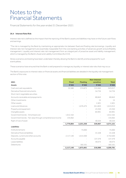Financial Statements for the year ended 31 December 2021

#### **26.4 Interest Rate Risk**

Interest rate risk is defined as the impact that the repricing of the Bank's assets and liabilities may have on the future cash flows and earnings.

"The risk is managed by the Bank by maintaining an appropriate mix between fixed and floating rate borrowings. Liquidity and interest rate risk management are essentially inseparable from the core banking activities of advances growth and profitability management. Liquidity and interest rate risk management form an integral part of proactive asset and liability management, which is managed by the Bank's Asset and Liability Committee (ALCCO).

Stress scenarios and testing have been undertaken thereby allowing the Bank to identify and be prepared for such eventualities.

These scenarios have ensured that the Bank is well prepared to manage any liquidity or interest rate risks that may occur.

The Bank's exposures to interest rates on financial assets and financial liabilities are detailed in the liquidity risk management section of this note.

|                                                            |                          |                 | <b>Non-interest</b> |              |
|------------------------------------------------------------|--------------------------|-----------------|---------------------|--------------|
| 2021                                                       | <b>Fixed</b>             | <b>Floating</b> | sensitive           | <b>Total</b> |
| <b>Assets</b>                                              | <b>R'000</b>             | <b>R'000</b>    | <b>R'000</b>        | <b>R'000</b> |
| Cash and cash equivalents                                  | 32,580                   | 574,875         | 315,562             | 923,017      |
| Derivative financial instruments                           |                          |                 | 54,734              | 54,734       |
| Short-term negotiable securities                           |                          |                 |                     |              |
| Accounts receivable and prepayments                        |                          |                 | 80,843              | 80,843       |
| Other investments                                          |                          |                 | 15                  | 15           |
| Other assets                                               |                          |                 | 2,401               | 2.401        |
| Loans and Advances                                         | $\overline{\phantom{a}}$ | 1,676,475       | (61, 463)           | 1,615,012    |
| Property and equipment                                     |                          |                 | 23,350              | 23,350       |
| Intangible assets                                          |                          |                 | 83,991              | 83,991       |
| Government bonds - Amortised cost                          | 1,612,162                |                 |                     | 1,612,162    |
| Government bonds - Fair value through comprehensive income | 135,062                  |                 |                     | 135,062      |
| Right of Use of asset                                      |                          |                 | 40,534              | 40,534       |
|                                                            | 1,779,804                | 2,251,350       | 539,967             | 4,571,121    |
| <b>Liabilities</b>                                         |                          |                 |                     |              |
| Institutional loans                                        |                          | 75,000          |                     | 75,000       |
| Derivative financial liabilities                           |                          |                 | 41,528              | 41,528       |
| Deposits, current and other accounts                       | 2,117,140                | 1,615,500       |                     | 3,732,640    |
| Accounts payable                                           |                          |                 | 137,379             | 137,379      |
| Lease liabilities                                          |                          |                 | 40,073              | 40,073       |
| Debentures                                                 |                          | 183,161         |                     | 183,161      |
|                                                            | 2,117,140                | 1,873,661       | 218,980             | 4,209,781    |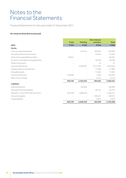Financial Statements for the year ended 31 December 2021

#### **26.4 Interest Rate Risk (continued)**

|                                      |                          |                 | <b>Non-interest</b> |              |
|--------------------------------------|--------------------------|-----------------|---------------------|--------------|
|                                      | <b>Fixed</b>             | <b>Floating</b> | sensitive           | <b>Total</b> |
| 2020                                 | <b>R'000</b>             | <b>R'000</b>    | <b>R'000</b>        | <b>R'000</b> |
| <b>Assets</b>                        |                          |                 |                     |              |
| Cash and cash equivalents            |                          | 276,532         | 342.036             | 618,568      |
| Derivative financial instruments     | $\overline{\phantom{m}}$ |                 | 52,644              | 52,644       |
| Short-term negotiable securities     | 60,051                   |                 |                     | 60,051       |
| Accounts receivable and prepayments  |                          |                 | 29.029              | 29,029       |
| Other investments                    | $\overline{a}$           |                 | 15                  | 15           |
| Loans and Advances                   | $\overline{\phantom{0}}$ | 2,058,387       | (114, 735)          | 1,943,652    |
| Property, plant and equipment        |                          |                 | 17,696              | 17,696       |
| Intangible assets                    |                          |                 | 71,922              | 71,922       |
| Government bonds                     | 139,699                  |                 | (160)               | 139,539      |
| Right of use of asset                |                          |                 | 6.115               | 6,115        |
|                                      | 199,750                  | 2,334,919       | 404,562             | 2,939,231    |
| <b>Liabilities</b>                   |                          |                 |                     |              |
| Institutional loans                  |                          | 150,000         |                     | 150,000      |
| Derivative financial liabilities     |                          |                 | 56,722              | 56,722       |
| Deposits, current and other accounts | 550,799                  | 1,899,418       |                     | 2,450,217    |
| Accounts payable                     |                          |                 | 100,672             | 100,672      |
| Lease liabilities                    |                          |                 | 5.975               | 5.975        |
|                                      | 550,799                  | 2,049,418       | 163,369             | 2,763,586    |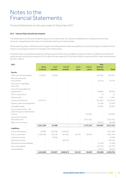Financial Statements for the year ended 31 December 2021

#### **26.5 Interest Rate Sensitivity Analysis**

The tables below summarise the Bank's exposure to interest rate risk. Assets and liabilities are included at the carrying amounts, categorised by the earlier of contractual repricing or maturity dates.

At the reporting date, a 200 basis point change in prevailing interest rates was applied as a sensitivity analysis to determine the impact on earnings as a result of a change in the interest rates.

If interest rates increased/decreased by 200 basis points and all other variables remained constant, the Bank's net profit and equity at year-end would increase by R14,3 million and decrease by R13,8 million (2020: increase by R24,2 million and decrease by R24,2 million)

| 2021                                                   | Up to     | 1 to 3  | 3 to 12                  | 1 to 2                   | $2$ to $5+$              | <b>Non</b><br><b>Interest</b> |              |
|--------------------------------------------------------|-----------|---------|--------------------------|--------------------------|--------------------------|-------------------------------|--------------|
|                                                        | 1 month   | months  | months                   | years                    | years                    | <b>Bearing</b>                | <b>Total</b> |
| <b>Assets</b>                                          |           |         |                          |                          |                          |                               |              |
| Cash and cash equivalents                              | 574,875   | 32,580  |                          |                          |                          | 315,562                       | 923,017      |
| Derivative financial<br>instruments                    |           |         |                          |                          |                          | 54,734                        | 54,734       |
| Short-term negotiable<br>securities                    |           |         |                          |                          |                          |                               |              |
| Accounts receivable and<br>prepayments                 |           |         |                          |                          |                          | 80,843                        | 80,843       |
| Other investments                                      |           |         |                          |                          |                          | 15                            | 15           |
| Other assets                                           |           |         |                          |                          |                          | 2.401                         | 2,401        |
| Loans and Advances                                     | 1,676,475 |         |                          |                          | $\overline{\phantom{0}}$ | (61, 463)                     | 1,615,012    |
| Property, plant and equipment                          |           |         |                          |                          |                          | 23,350                        | 23,350       |
| Intangible assets                                      |           |         |                          |                          |                          | 83,991                        | 83,991       |
| Government bonds - Fair<br>value through comprehensive |           |         |                          |                          |                          |                               |              |
| income                                                 |           |         |                          |                          | 135.062                  |                               | 135,062      |
| Government bonds -<br>Amortised cost                   |           |         |                          | $\overline{\phantom{m}}$ | 1,612,162                |                               | 1,612,162    |
| Right of use of asset                                  |           |         |                          |                          |                          | 40,534                        | 40,534       |
|                                                        | 2,251,350 | 32,580  | $\overline{\phantom{0}}$ | $\overline{\phantom{a}}$ | 1,747,224                | 539,967                       | 4,571,121    |
| <b>Liabilities</b>                                     |           |         |                          |                          |                          |                               |              |
| Due to other banks                                     | 45,900    | 159,558 | 1,436,022                |                          |                          |                               | 1,641,480    |
| Due to customers                                       | 1,596,100 | 85,139  | 367,691                  | 22,210                   | 20,020                   |                               | 2,091,160    |
| Institutional loans                                    |           | 75,000  |                          |                          |                          |                               | 75,000       |
| Debenture issued                                       |           |         | 183,161                  |                          |                          |                               | 183,161      |
| Derivative financial liabilities                       |           |         |                          |                          |                          | 41,528                        | 41,528       |
| Accounts payable                                       |           |         |                          |                          |                          | 137,379                       | 137,379      |
| Lease liabilities                                      |           |         |                          |                          |                          | 40,073                        | 40,073       |
|                                                        | 1,642,000 | 319,697 | 1,986,874                | 22,210                   | 20,020                   | 218,980                       | 4,209,781    |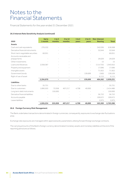Financial Statements for the year ended 31 December 2021

#### **26.5 Interest Rate Sensitivity Analysis (continued)**

| 2020                             | Up to<br>1 month         | 1 to 3<br>months | 3 to 12<br>months | 1 to 2<br><b>years</b>   | $2$ to $5+$<br><b>vears</b> | <b>Non Interest</b><br><b>Bearing</b> | <b>Total</b> |
|----------------------------------|--------------------------|------------------|-------------------|--------------------------|-----------------------------|---------------------------------------|--------------|
| <b>Assets</b>                    |                          |                  |                   |                          |                             |                                       |              |
|                                  |                          |                  |                   |                          |                             |                                       |              |
| Cash and cash equivalents        | 276,532                  |                  |                   |                          |                             | 342,036                               | 618,568      |
| Derivative financial instruments |                          |                  |                   |                          |                             | 52,644                                | 52,644       |
| Short-term negotiable securities | 60,051                   |                  |                   |                          |                             |                                       | 60,051       |
| Accounts receivable and          |                          |                  |                   |                          |                             |                                       |              |
| prepayments                      |                          |                  |                   |                          |                             | 29,029                                | 29,029       |
| Other investments                |                          |                  |                   |                          |                             | 15                                    | 15           |
| Loans and Advances               | 2,058,387                |                  |                   |                          |                             | (114, 735)                            | 1,943,652    |
| Property and equipment           |                          |                  |                   |                          |                             | 17,696                                | 17,696       |
| Intangible assets                |                          |                  |                   |                          |                             | 71,922                                | 71,922       |
| Government bonds                 |                          |                  | $\overline{a}$    | $\overline{\phantom{a}}$ | 139,699                     | (160)                                 | 139,539      |
| Right of use of asset            |                          |                  |                   |                          |                             | 6.115                                 | 6.115        |
|                                  | 2,394,970                | ۰                | $\blacksquare$    | $\sim$                   | 139,699                     | 404,562                               | 2,939,231    |
| <b>Liabilities</b>               |                          |                  |                   |                          |                             |                                       |              |
| Due to other banks               | 35,731                   |                  |                   |                          |                             |                                       | 35,731       |
| Due to customers                 | 1,890,503                | 72,058           | 407,217           | 4,708                    | 40,000                      | $\overline{\phantom{a}}$              | 2,414,486    |
| Long term debt instruments       | $\overline{\phantom{a}}$ | 150,000          |                   |                          |                             |                                       | 150,000      |
| Derivative financial liabilities |                          |                  |                   |                          |                             | 56.722                                | 56,722       |
| Accounts payable                 |                          |                  |                   |                          |                             | 100,672                               | 100,672      |
| Lease liabilities                |                          |                  |                   |                          |                             | 5.975                                 | 5,975        |
|                                  | 1,926,234                | 222,058          | 407,217           | 4,708                    | 40,000                      | 163,369                               | 2,763,586    |

#### **26.6 Foreign Currency Risk Management**

The Bank undertakes transactions denominated in foreign currencies; consequently, exposures to exchange rate fluctuations arise.

Exchange rate exposures are managed within approved policy parameters utilising forward foreign exchange contracts.

The carrying amounts of the Bank's foreign currency denominated monetary assets and monetary liabilities at the end of the reporting period are as follows.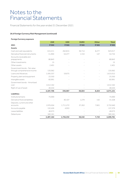Financial Statements for the year ended 31 December 2021

#### **26.6 Foreign Currency Risk Management (continued)**

#### **Foreign Currency exposure**

|                                  | <b>ZAR</b>   | <b>USD</b>   | <b>EURO</b>  | <b>Other</b> | <b>Total</b> |
|----------------------------------|--------------|--------------|--------------|--------------|--------------|
| 2021                             | <b>R'000</b> | <b>R'000</b> | <b>R'000</b> | <b>R'000</b> | <b>R'000</b> |
| <b>Assets</b>                    |              |              |              |              |              |
| Cash and cash equivalents        | 615,211      | 262,815      | 36,714       | 8,277        | 923,017      |
| Derivative financial instruments | (1,200)      | 54,477       | 1,310        | 147          | 54,734       |
| Accounts receivable and          |              |              |              |              |              |
| prepayments                      | 80,843       |              |              |              | 80,843       |
| Other investments                | 15           |              |              |              | 15           |
| Other assets                     | 2,401        |              |              |              | 2.401        |
| Government bonds - Fair value    |              |              |              |              |              |
| through comprehensive income     | 135,062      |              |              |              | 135,062      |
| Loans and Advances               | 1,595,337    | 19,675       |              |              | 1,615,012    |
| Property, plant and equipment    | 23,350       |              |              |              | 23,350       |
| Intangible assets                | 83,991       |              |              |              | 83,991       |
| Government bonds - Amortised     |              |              |              |              |              |
| cost                             | 1,612,162    |              |              |              | 1,612,162    |
| Right of use of asset            | 40,534       |              |              |              | 40,534       |
|                                  | 4,187,706    | 336,967      | 38,024       | 8,424        | 4,571,121    |
| <b>Liabilities</b>               |              |              |              |              |              |
| Institutional loans              | 75,000       |              |              |              | 75,000       |
| Derivative financial liabilities |              | 40,107       | 1,279        | 142          | 41,528       |
| Deposits, current and other      |              |              |              |              |              |
| accounts                         | 1,976,504    | 1,711,272    | 37,263       | 7,601        | 3,732,640    |
| Accounts payable                 | 132,426      | 4,953        |              |              | 137,379      |
| Lease liabilities                | 40,073       |              |              |              | 40,073       |
| Debentures                       | 183,161      |              |              |              | 183,161      |
|                                  | 2,407,164    | 1,756,332    | 38,542       | 7,743        | 4,209,781    |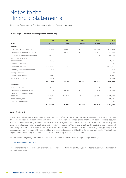### Financial Statements for the year ended 31 December 2021

#### **26.6 Foreign Currency Risk Management (continued)**

|                                        | <b>ZAR</b>   | <b>USD</b>   | <b>EURO</b>  | <b>Other</b> | <b>Total</b> |
|----------------------------------------|--------------|--------------|--------------|--------------|--------------|
| 2020                                   | <b>R'000</b> | <b>R'000</b> | <b>R'000</b> | <b>R'000</b> | <b>R'000</b> |
| <b>Assets</b>                          |              |              |              |              |              |
| Cash and cash equivalents              | 361,345      | 146,942      | 74,425       | 35,856       | 618,568      |
| Derivative financial instruments       | (449)        | 35,101       | 14,971       | 3,021        | 52,644       |
| Short-term negotiable securities       | 60,051       |              |              |              | 60,051       |
| Accounts receivable and<br>prepayments | 29.029       |              |              |              | 29.029       |
| Other investments                      | 15           |              |              |              | 15           |
| Loans and Advances                     | 1,942,550    | 1,102        |              |              | 1,943,652    |
| Property, plant and equipment          | 17,696       |              |              |              | 17.696       |
| Intangible assets                      | 71,922       |              |              |              | 71,922       |
| Government bonds                       | 139,539      |              |              |              | 139.539      |
| Right of use of asset                  | 6.115        |              |              |              | 6.115        |
|                                        | 2,627,813    | 183,145      | 89,396       | 38,877       | 2,939,231    |
| <b>Liabilities</b>                     |              |              |              |              |              |
| Institutional loan                     | 150,000      |              |              |              | 150,000      |
| Derivative financial liabilities       |              | 38.769       | 14,934       | 3.019        | 56,722       |
| Deposits, current and other            |              |              |              |              |              |
| accounts                               | 2,072,641    | 266,825      | 74,856       | 35,895       | 2,450,217    |
| Accounts payable                       | 100,672      |              |              |              | 100,672      |
| Right of Use of asset                  | 5.975        |              |              |              | 5,975        |
|                                        | 2,329,288    | 305,594      | 89,790       | 38,914       | 2,763,586    |

### **26.7 Credit Risk**

Credit risk is defined as the possibility that customers may default on their future cash flow obligations to the Bank. In lending transactions, credit risk arises from the non-payment of approved of loans and advances, and from off-balance sheet exposures such as commitments and guarantees. The Bank actively manages its credit risk at the Individual transaction, counterparty and portfolio level using a variety of qualiltative and quantitative measures. Customer's' credit worthiness is thoroughly assessed before any credit facility is recommended to or granted by the various credit committees. The credit granting philosophy is a conservative one. The Board of Directors ratifies all exposures in excess of 10% of the Bank's qualifying capital. The Bank has implemented a risk-rating model, which calculates the probability of default of customers.

Refer to accounting policy 1.13 for definitions and criteria used to allocate loans in stage 1, stage 2 or stage 3.

### 27. RETIREMENT FUND

All permanent employees of the Bank are members of The Access Bank Provident Fund, a defined contribution fund administered by 10X Investments.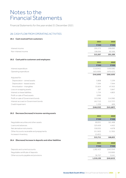Financial Statements for the year ended 31 December 2021

## 28.CASH FLOW FROM OPERATING ACTIVITIES

### **28.1 Cash received from customers**

|                 | 2021         | 2020         |
|-----------------|--------------|--------------|
|                 | <b>R'000</b> | <b>R'000</b> |
| Interest income | 205,273      | 209,093      |
|                 | 108.094      | 82,506       |
|                 | 313,367      | 291,599      |

#### **28.2 Cash paid to customers and employees**

|                                      | AVA P        | <b>LULU</b>  |
|--------------------------------------|--------------|--------------|
|                                      | <b>R'000</b> | <b>R'000</b> |
| Interest expenditure                 | (116.941)    | (109, 506)   |
| Operating expenditure                | (425,909)    | (476, 423)   |
|                                      | (542, 850)   | (585, 929)   |
| Adjusted for:                        |              |              |
| Depreciation - owned assets          | 5,808        | 7,239        |
| Depreciation - leased assets         | 7,594        | 7,944        |
| Amortisation - intangibles           | 33,824       | 47,933       |
| Loss on scrapping assets             | 287          | 3.847        |
| Interest on lease liabilities        | 1,734        | 4,803        |
| Profit on sale of Fixed assets       | (299)        |              |
| Profit on sale of Government bonds   | (10, 258)    | (14, 596)    |
| Interest accrued on Government bonds | (45, 712)    | (13, 737)    |
| Credit Impairment                    | 1,339        | 609          |
|                                      | (548, 532)   | (541, 887)   |

#### **28.3 Decrease (increase) in income-earning assets**

|                                           | <u>auz 1</u> | LULU         |
|-------------------------------------------|--------------|--------------|
|                                           | <b>R'000</b> | <b>R'000</b> |
| Negotiable securities and other assets    | 60,051       | 161,468      |
| Loans and advances                        | 325.659      | 4.452        |
| Net derivative instruments                | (18,035)     | 4,678        |
| Other Accounts receivable and prepayments | (51, 563)    | (1,765)      |
| Increase in Inventory                     | (2,401)      |              |
|                                           | 313,711      | 168,833      |

#### **28.4 (Decrease) Increase in deposits and other liabilities**

|                                       | <b>R'000</b> | <b>R'000</b> |
|---------------------------------------|--------------|--------------|
| Deposits and current accounts         | 1.282.423    | (245.354)    |
| Negotiable certificate of deposits    |              | (10,000)     |
| Other accounts payable and provisions | 36.707       | 9.541        |
|                                       | 1,319,130    | (245, 813)   |

**2021 2020**

**2021 2020**

**2021 2020**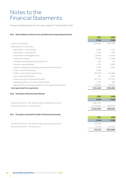Financial Statements for the year ended 31 December 2021

#### **28.5 Reconciliation of loss to net cash flows from operating activities**

|                                                                    | 2021         | 2020         |
|--------------------------------------------------------------------|--------------|--------------|
|                                                                    | <b>R'000</b> | <b>R'000</b> |
| Loss from operations                                               | (213, 656)   | (354, 130)   |
| Adjusted for non cashitems:                                        |              |              |
| - depreciation - owned assets                                      | 5,808        | 7,239        |
| - depreciation - leased assets                                     | 7,594        | 7,944        |
| - amortisation of intangible assets                                | 33,824       | 47,933       |
| - impairment charges                                               | (3.510)      | 71,108       |
| - bad debts recovered previously written off                       | 832          | 157          |
| - interest on lease liabilities                                    | 1,734        | 4,803        |
| - interest in abeyance raised deducted against interest income     | 5,659        | 3.440        |
| - Profit on sale of Fixed assets                                   | (299)        |              |
| - Profit on sale of Government bonds                               | (10, 258)    | (14, 596)    |
| - Loss on sale of fixed assets                                     | 287          | 3,847        |
| - Interest accrued on Government bonds                             | (45, 712)    | (13, 737)    |
| - Expected credilt loss on other financial assets                  | 1,339        | 609          |
| - Adjustment for exchange rate effect on cash and cash equivalents | (18,808)     | (14,905)     |
| <b>Cash generated from operations</b>                              | (235, 166)   | (250, 288)   |

#### **28.6 Purchases of Government Bonds**

|                                                            | <b>R'000</b> | <b>R'000</b> |
|------------------------------------------------------------|--------------|--------------|
| Government bonds - Fair value through comprehensive income | (881461)     | $-$          |
| Government bonds - Amortised cost                          | (1452864)    | (298630)     |
|                                                            | (2334325)    | (298630)     |

**2021 2020**

**2021 2020**

#### **28.7 Proceeds received from Sale of Government bonds**

|                                                            | 781 122      | (250, 288)   |
|------------------------------------------------------------|--------------|--------------|
| Government bonds - Amortised cost                          | 15794        | 354610       |
| Government bonds - Fair value through comprehensive income | 765328       | $-$          |
|                                                            | <b>R'000</b> | <b>R'000</b> |
|                                                            | LULL         | LULU         |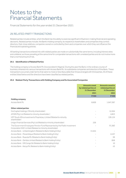Financial Statements for the year ended 31 December 2021

## 29.RELATED-PARTY TRANSACTIONS

Related parties include entities, which the Bank has the ability to exercise significant influence in making financial and operating decisions. Related parties include, the Bank's holding company, its respective shareholders and companies they control, directors, their close relatives, companies owned or controlled by them and companies over which they can influence the financial and operating policies.

All banking transactions entered into with related parties are made on substantially the same terms, including interest rates and collateral, as those prevailing at the same time for comparable transactions with unrelated parties and do not involve more than a normal amount of risk.

#### **29.1 Identification of Related Parties**

The holding company is Access Bank Plc (incorporated in Nigeria). During the year the Bank, in the ordinary course of business, entered into various transactions with Access Bank Plc, its subsidaries companies and directors of the Bank. These transactions occurred under terms that were no more or less favourable than those arranged with third parties. All of these entities listed below and the directors have been classified as related parties.

#### **29.2 Related-Party Transactions with Holding Company and Its Associated Companies**

|                                                                                                                                         | <b>Amounts owed</b><br>by related parties at<br><b>31 December</b><br>2021 | <b>Amounts owed to</b><br>related parties at<br><b>31 December</b><br>2021 |
|-----------------------------------------------------------------------------------------------------------------------------------------|----------------------------------------------------------------------------|----------------------------------------------------------------------------|
|                                                                                                                                         | <b>R'000</b>                                                               | <b>R'000</b>                                                               |
| <b>Holding company</b>                                                                                                                  |                                                                            |                                                                            |
| Access Bank Plc                                                                                                                         | 8,609                                                                      | 1,647,387                                                                  |
| <b>Other related parties</b>                                                                                                            |                                                                            |                                                                            |
| GroCapital Holdings (Minority shareholder)                                                                                              |                                                                            | 12,264                                                                     |
| AFGRI (Pty) Ltd (Related to minority shareholder)                                                                                       |                                                                            | 4,853                                                                      |
| HFP South Africa investments Proprietary Limited (Related to minority<br>shareholder)                                                   |                                                                            | 128,124                                                                    |
| Unigro Financial Services (Pty) Ltd (Related to minority shareholder)                                                                   | 226                                                                        |                                                                            |
| The Government Employees Pension Fund Represented by the Public Investment<br>Corporation SOC Limited (Related to minority shareholder) |                                                                            | 91,382                                                                     |
| Access Bank - United kingdom (Related to Bank Holding Entity)                                                                           | 13,455                                                                     |                                                                            |
| Access Bank - Mozambique (Related to Bank Holding Entity)                                                                               |                                                                            | 4.537                                                                      |
| Access Bank - Rwanda Plc (Related to Bank Holding Entity)                                                                               |                                                                            | 99                                                                         |
| Access Bank - Zambia Limited (Related to Bank Holding Entity)                                                                           |                                                                            | 858                                                                        |
| Access Bank - DR Congo SA (Related to Bank Holding Entity)                                                                              |                                                                            | 10                                                                         |
| Access Bank - Kenya Plc (Related to Bank Holding Entity)                                                                                |                                                                            | 53                                                                         |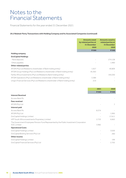Financial Statements for the year ended 31 December 2021

#### **29.2 Related-Party Transactions with Holding Company and Its Associated Companies (continued)**

|                                                                                     | <b>Amounts owed</b><br>by related parties at<br><b>31 December</b><br>2020 | <b>Amounts owed to</b><br>related parties at<br><b>31 December</b><br>2020 |
|-------------------------------------------------------------------------------------|----------------------------------------------------------------------------|----------------------------------------------------------------------------|
|                                                                                     | <b>R'000</b>                                                               | <b>R'000</b>                                                               |
| <b>Holding company</b>                                                              |                                                                            |                                                                            |
| <b>GroCapital Holdings</b>                                                          |                                                                            |                                                                            |
| - Rand deposits                                                                     |                                                                            | 274,128                                                                    |
| Other payables                                                                      |                                                                            | 1.960                                                                      |
| <b>Other related parties</b>                                                        |                                                                            |                                                                            |
| AFGRI (Pty) Ltd (Related to shareholder of Bank holding entity)                     | 1,657                                                                      | 40,809                                                                     |
| AFGRI Group Holdings (Pty) Ltd (Related to shareholder of Bank holding entity)      | 45,363                                                                     |                                                                            |
| Fairfax Africa Investments (Pty) Ltd (Related to Bank holding entity)               |                                                                            | 195,030                                                                    |
| AFGRI Operations (Pty) Ltd (Related to shareholder of Bank holding entity)          | 3.389                                                                      |                                                                            |
| Unigro Financial Services (Pty) Ltd (Related to shareholder of Bank holding entity) | 214                                                                        |                                                                            |

|                                                                                                              | 2021         | 2020         |
|--------------------------------------------------------------------------------------------------------------|--------------|--------------|
|                                                                                                              | <b>R'000</b> | <b>R'000</b> |
| <b>Interest Received</b>                                                                                     |              |              |
| Access Bank Plc                                                                                              |              |              |
| <b>Fees received</b>                                                                                         |              |              |
| AFGRI (Pty) Ltd                                                                                              |              | 7            |
| <b>Interest paid</b>                                                                                         |              |              |
| Access Bank Plc                                                                                              | 8,374        |              |
| AFGRI (Pty) Ltd                                                                                              |              | 1,995        |
| GroCapital Holdings Limited                                                                                  |              | 17,611       |
| HFP South Africa investments Proprietary Limited                                                             | 2.733        | 6,663        |
| The Government Employees Pension Fund Represented by the Public Investment Corporation<br><b>SOC Limited</b> | 3.982        |              |
| <b>Operational Costs</b>                                                                                     |              |              |
| GroCapital Holdings Limited                                                                                  |              | 3,026        |
| GroCapital Broking Services (Pty) Ltd                                                                        |              | 260          |
| <b>Other income</b>                                                                                          |              |              |
| GroCapital Holdings Limited                                                                                  |              | 199          |
| GroCapital Financial Services (Pty) Ltd                                                                      |              | 2,702        |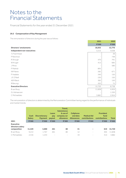Financial Statements for the year ended 31 December 2021

#### **29.3 Compensation of Key Management**

The remuneration of directors during the year was as follows:

|                              | 2021         | 2020         |
|------------------------------|--------------|--------------|
|                              | <b>R'000</b> | <b>R'000</b> |
| <b>Directors' emoluments</b> | 18,935       | 12,776       |
| Independent non-executives   | 3,215        | 4,038        |
| TJ Fearnhead                 |              | 38           |
| P Ranchod                    |              | 748          |
| R Shough                     | 470          | 791          |
| W Kruger                     | 413          | 685          |
| J Mirza                      |              | 580          |
| P Mathidi                    | 895          |              |
| NM Nene                      | 282          | 671          |
| P Hadebe                     | 340          | 150          |
| J E O'Neill                  | 230          | 150          |
| <b>AEM Beck</b>              | 383          | 150          |
| <b>B</b> Barungi             | 202          | 75           |
| <b>Executive Directors</b>   | 15,720       | 8,738        |
| B van Rooy                   | 11,838       | 4,454        |
| DJ Adriaanzen                |              | 1,330        |
| C Michaelides                | 3,882        | 2,954        |

The remuneration of directors is determined by the Remuneration Committee having regard to the performance of individuals and market trends.

|                                                     | Cash<br><b>Salary</b> | <b>Discretionary</b><br><b>Payment</b> | Leave<br>pay<br>payout | <b>Travel.</b><br><b>Subsistence</b><br>& use of<br>company car<br>allowance | <b>Cellphone</b><br>and data<br><b>Allowances</b> | <b>Medical Aid</b><br><b>contributions</b> | <b>Provident</b><br>fund<br>contributions | <b>Total</b> |
|-----------------------------------------------------|-----------------------|----------------------------------------|------------------------|------------------------------------------------------------------------------|---------------------------------------------------|--------------------------------------------|-------------------------------------------|--------------|
| 2021                                                | <b>R'000</b>          | <b>R'000</b>                           | <b>R'000</b>           | <b>R'000</b>                                                                 | <b>R'000</b>                                      | <b>R'000</b>                               | <b>R'000</b>                              | <b>R'000</b> |
| <b>Executive</b><br>directors salary<br>composition | 11,529                | 3,000                                  | 461                    | 80                                                                           | 31                                                | $\sim$                                     | 619                                       | 15,720       |
| B van Rooy                                          | 9.213                 | 1.767                                  | 461                    | 80                                                                           | 12                                                | $\overline{\phantom{a}}$                   | 305                                       | 11,838       |
| C Michaelides                                       | 2.316                 | 1.233                                  | $\qquad \qquad$        | -                                                                            | 19                                                | $\qquad \qquad =$                          | 314                                       | 3.882        |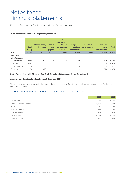Financial Statements for the year ended 31 December 2021

#### **29.3 Compensation of Key Management (continued)**

|                                      | Cash<br><b>Salary</b> | <b>Discretionary</b><br><b>Payment</b> | Leave<br>pay<br>payout   | <b>Travel,</b><br><b>Subsistence</b><br><b>&amp;use of</b><br>companycar<br>allowance | <b>Cellphone</b><br>anddata<br><b>Allowances</b> | <b>Medical Aid</b><br>contributions | <b>Provident</b><br>fund<br>contributions | <b>Total</b> |
|--------------------------------------|-----------------------|----------------------------------------|--------------------------|---------------------------------------------------------------------------------------|--------------------------------------------------|-------------------------------------|-------------------------------------------|--------------|
| 2020                                 | <b>R'000</b>          | <b>R'000</b>                           | <b>R'000</b>             | <b>R'000</b>                                                                          | <b>R'000</b>                                     | <b>R'000</b>                        | <b>R'000</b>                              | <b>R'000</b> |
| <b>Executive</b><br>directors salary | 6,468                 | 1,138                                  | ٠                        | 74                                                                                    | 48                                               | 52                                  | 958                                       |              |
| composition                          |                       |                                        |                          |                                                                                       |                                                  |                                     |                                           | 8,738        |
| B van Rooy                           | 3,220                 | 659                                    | $\overline{\phantom{a}}$ | 50                                                                                    | 19                                               | $\overline{\phantom{a}}$            | 506                                       | 4.454        |
| D.J Adriaanzen                       | 1.114                 | $\overline{\phantom{a}}$               | $\overline{\phantom{a}}$ | 24                                                                                    | 10                                               | 52                                  | 130                                       | 1,330        |
| C Michaelides                        | 2.134                 | 479                                    | $\overline{\phantom{a}}$ | $\overline{\phantom{a}}$                                                              | 19                                               | $\overline{\phantom{a}}$            | 322                                       | 2.954        |

#### **29.4 Transactions with Directors And Their Associated Companies Are At Arms Lengths**

#### **Amounts owed by/to related parties as at December 2021**

There were no amounts owed by/to the independent non-executive Directors and their associated companies for the year ended 31 December 2021 (RNil:2020).

### 30.PRINCIPAL FOREIGN CURRENCY CONVERSION CLOSING RATES

| 2021   |  |
|--------|--|
| 21,512 |  |
| 15,956 |  |
| 18,071 |  |
| 11,563 |  |
| 1,358  |  |
| 0.139  |  |
| 12,547 |  |
|        |  |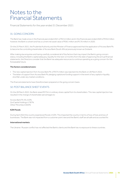# Notes to the Financial Statements

Financial Statements for the year ended 31 December 2021

## 31. GOING CONCERN

The Bank has made a loss in the financial year ended 2021 of R214 million and in the financial year ended 2020 of R354 million however, the Bank is solvent and has a current net asset value of R361 million and R176 million in 2020.

On the 25 March 2021, the Prudential Authority and the Minister of Finance approved that the application of Access Bank Plc to become the controlling shareholder of Access Bank (South Africa) previously known as Grobank.

After making due enquiries and having carefully considered all of the factors that may impact the Bank's going concern status, including the Bank's capital adequacy, liquidity for the next 12 months from the date of approving the annual financial statements, the Directors consider that the Bank has adequate resources to continue operating as a going concern for the foreseeable future.

#### **The factors considered were:**

- The new capital injection from Access Bank Plc of R375 million was injected into the Bank on 28 March 2022,
- The letter of support from Access Bank Plc pledging capital and funding support in the event of any capital or liquidity shortfall, under any market conditions.

The financial statements have therefore been prepared on the going concern basis.

## 32. POST BALANCE SHEET EVENTS

On the 28 March 2022, the Bank raised R375m in ordinary share capital from its shareholders. This new capital injection has resulted in the change of shareholder percentages to:

Access Bank Plc 95.210% GroCapital Holdings 4.787% Other Minorities 0.003%

#### **KZN Floods**

During April 2022 the country experieced floods in KZN. This impacted the country in terms of loss of lives and loss of businesses. The Bank was not impacted from a customer point view and the Bank's staff are all safe and accounted for.

#### **International markets**

The Ukraine / Russian conflict has not affected the Bank's clients and the Bank has no exposure to these countries.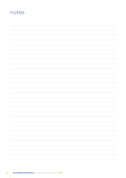# notes